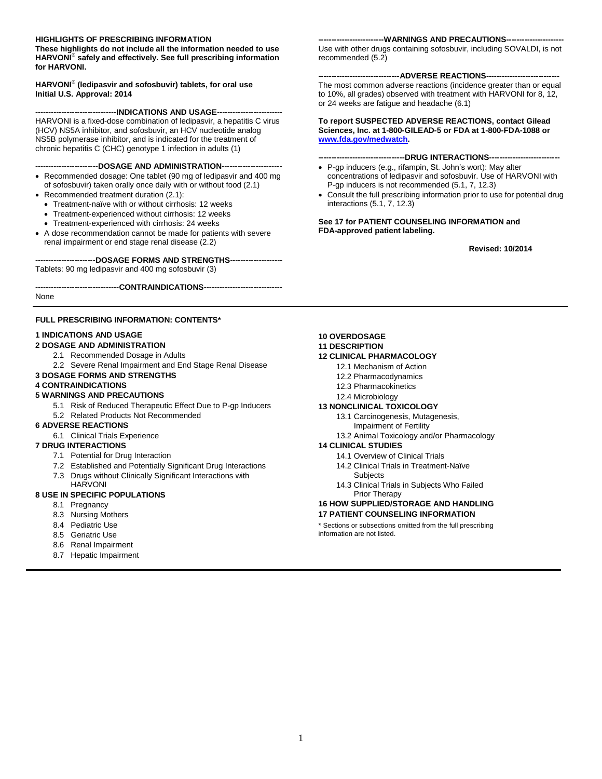#### **HIGHLIGHTS OF PRESCRIBING INFORMATION**

**These highlights do not include all the information needed to use HARVONI® safely and effectively. See full prescribing information for HARVONI.**

**HARVONI® (ledipasvir and sofosbuvir) tablets, for oral use Initial U.S. Approval: 2014**

--INDICATIONS AND USAGE---HARVONI is a fixed-dose combination of ledipasvir, a hepatitis C virus

(HCV) NS5A inhibitor, and sofosbuvir, an HCV nucleotide analog NS5B polymerase inhibitor, and is indicated for the treatment of chronic hepatitis C (CHC) genotype 1 infection in adults (1)

**------------------------DOSAGE AND ADMINISTRATION-----------------------**

- Recommended dosage: One tablet (90 mg of ledipasvir and 400 mg of sofosbuvir) taken orally once daily with or without food (2.1)
- Recommended treatment duration (2.1):
	- Treatment-naïve with or without cirrhosis: 12 weeks
	- Treatment-experienced without cirrhosis: 12 weeks
	- Treatment-experienced with cirrhosis: 24 weeks
- A dose recommendation cannot be made for patients with severe renal impairment or end stage renal disease (2.2)

#### **-----------------------DOSAGE FORMS AND STRENGTHS--------------------**

Tablets: 90 mg ledipasvir and 400 mg sofosbuvir (3)

**--------------------------------CONTRAINDICATIONS------------------------------**

None

#### **FULL PRESCRIBING INFORMATION: CONTENTS\***

#### **1 INDICATIONS AND USAGE**

#### **2 DOSAGE AND ADMINISTRATION**

- 2.1 Recommended Dosage in Adults
- 2.2 Severe Renal Impairment and End Stage Renal Disease
- **3 DOSAGE FORMS AND STRENGTHS**

#### **4 CONTRAINDICATIONS**

#### **5 WARNINGS AND PRECAUTIONS**

- 5.1 Risk of Reduced Therapeutic Effect Due to P-gp Inducers
- 5.2 Related Products Not Recommended
- **6 ADVERSE REACTIONS**
	- 6.1 Clinical Trials Experience

#### **7 DRUG INTERACTIONS**

- 7.1 Potential for Drug Interaction
- 7.2 Established and Potentially Significant Drug Interactions
- 7.3 Drugs without Clinically Significant Interactions with
- HARVONI

#### **8 USE IN SPECIFIC POPULATIONS**

- 8.1 Pregnancy
- 8.3 Nursing Mothers
- 8.4 Pediatric Use
- 8.5 Geriatric Use
- 8.6 Renal Impairment
- 8.7 Hepatic Impairment

#### ---WARNINGS AND PRECAUTIONS---

Use with other drugs containing sofosbuvir, including SOVALDI, is not recommended (5.2)

#### ---ADVERSE REACTIONS--

The most common adverse reactions (incidence greater than or equal to 10%, all grades) observed with treatment with HARVONI for 8, 12, or 24 weeks are fatigue and headache (6.1)

#### **To report SUSPECTED ADVERSE REACTIONS, contact Gilead Sciences, Inc. at 1-800-GILEAD-5 or FDA at 1-800-FDA-1088 or [www.fda.gov/medwatch.](http://www.fda.gov/medwatch)**

#### ----DRUG INTERACTIONS----

- P-gp inducers (e.g., rifampin, St. John's wort): May alter concentrations of ledipasvir and sofosbuvir. Use of HARVONI with P-gp inducers is not recommended (5.1, 7, 12.3)
- Consult the full prescribing information prior to use for potential drug interactions (5.1, 7, 12.3)

#### **See 17 for PATIENT COUNSELING INFORMATION and FDA-approved patient labeling.**

 **Revised: 10/2014**

#### **10 OVERDOSAGE**

#### **11 DESCRIPTION**

#### **12 CLINICAL PHARMACOLOGY**

- 12.1 Mechanism of Action
- 12.2 Pharmacodynamics
- 12.3 Pharmacokinetics
- 12.4 Microbiology

#### **13 NONCLINICAL TOXICOLOGY**

- 13.1 Carcinogenesis, Mutagenesis,
	- Impairment of Fertility
- 13.2 Animal Toxicology and/or Pharmacology

#### **14 CLINICAL STUDIES**

- 14.1 Overview of Clinical Trials
- 14.2 Clinical Trials in Treatment-Naïve Subjects

#### 14.3 Clinical Trials in Subjects Who Failed Prior Therapy

#### **16 HOW SUPPLIED/STORAGE AND HANDLING**

#### **17 PATIENT COUNSELING INFORMATION**

\* Sections or subsections omitted from the full prescribing information are not listed.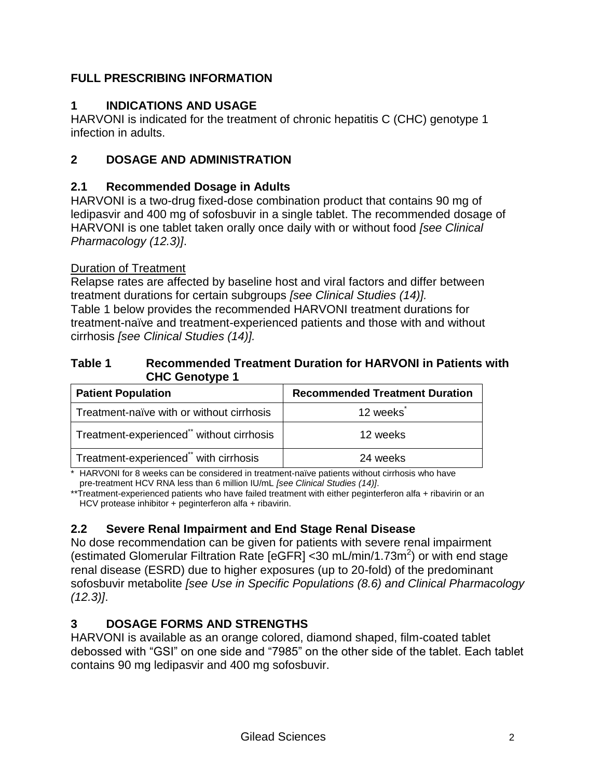# **FULL PRESCRIBING INFORMATION**

# **1 INDICATIONS AND USAGE**

HARVONI is indicated for the treatment of chronic hepatitis C (CHC) genotype 1 infection in adults.

# **2 DOSAGE AND ADMINISTRATION**

### **2.1 Recommended Dosage in Adults**

HARVONI is a two-drug fixed-dose combination product that contains 90 mg of ledipasvir and 400 mg of sofosbuvir in a single tablet. The recommended dosage of HARVONI is one tablet taken orally once daily with or without food *[see Clinical Pharmacology (12.3)]*.

#### Duration of Treatment

Relapse rates are affected by baseline host and viral factors and differ between treatment durations for certain subgroups *[see Clinical Studies (14)].* Table 1 below provides the recommended HARVONI treatment durations for treatment-naïve and treatment-experienced patients and those with and without cirrhosis *[see Clinical Studies (14)].*

#### **Table 1 Recommended Treatment Duration for HARVONI in Patients with CHC Genotype 1**

| <b>Patient Population</b>                 | <b>Recommended Treatment Duration</b> |
|-------------------------------------------|---------------------------------------|
| Treatment-naïve with or without cirrhosis | 12 weeks                              |
| Treatment-experienced" without cirrhosis  | 12 weeks                              |
| Treatment-experienced** with cirrhosis    | 24 weeks                              |

\* HARVONI for 8 weeks can be considered in treatment-naïve patients without cirrhosis who have pre-treatment HCV RNA less than 6 million IU/mL *[see Clinical Studies (14)]*.

\*\*Treatment-experienced patients who have failed treatment with either peginterferon alfa + ribavirin or an HCV protease inhibitor + peginterferon alfa + ribavirin.

# **2.2 Severe Renal Impairment and End Stage Renal Disease**

No dose recommendation can be given for patients with severe renal impairment (estimated Glomerular Filtration Rate [eGFR] < 30 mL/min/1.73m<sup>2</sup>) or with end stage renal disease (ESRD) due to higher exposures (up to 20-fold) of the predominant sofosbuvir metabolite *[see Use in Specific Populations (8.6) and Clinical Pharmacology (12.3)]*.

# **3 DOSAGE FORMS AND STRENGTHS**

HARVONI is available as an orange colored, diamond shaped, film-coated tablet debossed with "GSI" on one side and "7985" on the other side of the tablet. Each tablet contains 90 mg ledipasvir and 400 mg sofosbuvir.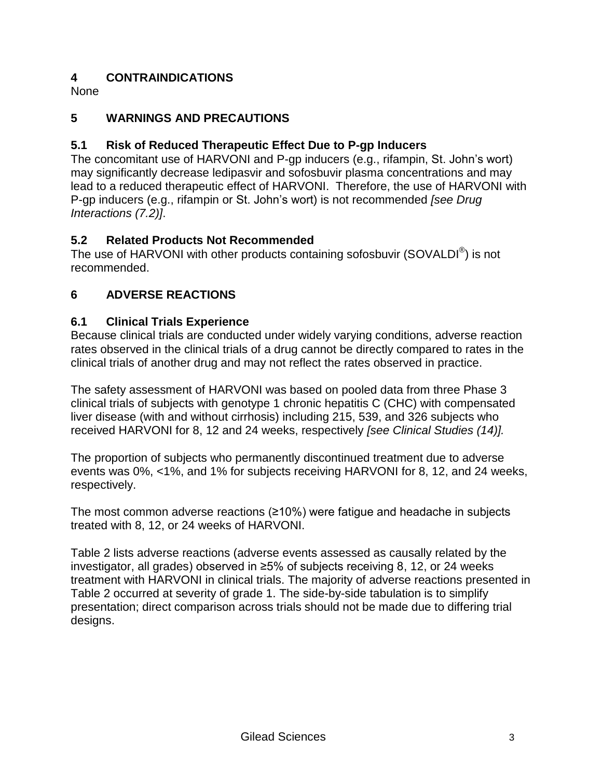# **4 CONTRAINDICATIONS**

None

# **5 WARNINGS AND PRECAUTIONS**

# **5.1 Risk of Reduced Therapeutic Effect Due to P-gp Inducers**

The concomitant use of HARVONI and P-gp inducers (e.g., rifampin, St. John's wort) may significantly decrease ledipasvir and sofosbuvir plasma concentrations and may lead to a reduced therapeutic effect of HARVONI. Therefore, the use of HARVONI with P-gp inducers (e.g., rifampin or St. John's wort) is not recommended *[see Drug Interactions (7.2)]*.

# **5.2 Related Products Not Recommended**

The use of HARVONI with other products containing sofosbuvir (SOVALDI $^{\circledR}$ ) is not recommended.

# **6 ADVERSE REACTIONS**

### **6.1 Clinical Trials Experience**

Because clinical trials are conducted under widely varying conditions, adverse reaction rates observed in the clinical trials of a drug cannot be directly compared to rates in the clinical trials of another drug and may not reflect the rates observed in practice.

The safety assessment of HARVONI was based on pooled data from three Phase 3 clinical trials of subjects with genotype 1 chronic hepatitis C (CHC) with compensated liver disease (with and without cirrhosis) including 215, 539, and 326 subjects who received HARVONI for 8, 12 and 24 weeks, respectively *[see Clinical Studies (14)].*

The proportion of subjects who permanently discontinued treatment due to adverse events was 0%, <1%, and 1% for subjects receiving HARVONI for 8, 12, and 24 weeks, respectively.

The most common adverse reactions (≥10%) were fatigue and headache in subjects treated with 8, 12, or 24 weeks of HARVONI.

Table 2 lists adverse reactions (adverse events assessed as causally related by the investigator, all grades) observed in ≥5% of subjects receiving 8, 12, or 24 weeks treatment with HARVONI in clinical trials. The majority of adverse reactions presented in Table 2 occurred at severity of grade 1. The side-by-side tabulation is to simplify presentation; direct comparison across trials should not be made due to differing trial designs.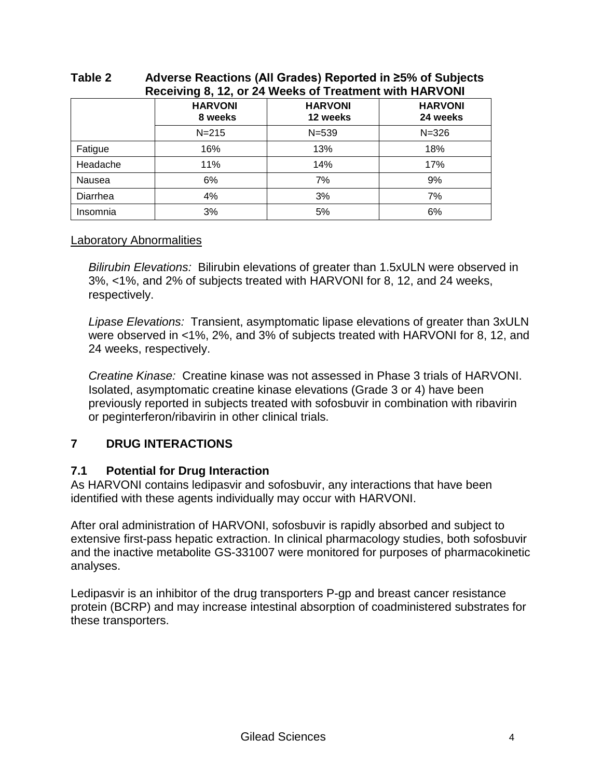| Receiving 8, 12, or 24 Weeks of Treatment with HARVONI |                           |                            |                            |  |  |
|--------------------------------------------------------|---------------------------|----------------------------|----------------------------|--|--|
|                                                        | <b>HARVONI</b><br>8 weeks | <b>HARVONI</b><br>12 weeks | <b>HARVONI</b><br>24 weeks |  |  |
|                                                        | $N = 215$                 | $N = 539$                  | $N = 326$                  |  |  |
| Fatigue                                                | 16%                       | 13%                        | 18%                        |  |  |
| Headache                                               | 11%                       | 14%                        | 17%                        |  |  |
| Nausea                                                 | 6%                        | 7%                         | 9%                         |  |  |
| Diarrhea                                               | 4%                        | 3%                         | 7%                         |  |  |
| Insomnia                                               | 3%                        | 5%                         | 6%                         |  |  |

# **Table 2 Adverse Reactions (All Grades) Reported in ≥5% of Subjects**

### Laboratory Abnormalities

*Bilirubin Elevations:* Bilirubin elevations of greater than 1.5xULN were observed in 3%, <1%, and 2% of subjects treated with HARVONI for 8, 12, and 24 weeks, respectively.

*Lipase Elevations:* Transient, asymptomatic lipase elevations of greater than 3xULN were observed in <1%, 2%, and 3% of subjects treated with HARVONI for 8, 12, and 24 weeks, respectively.

*Creatine Kinase:* Creatine kinase was not assessed in Phase 3 trials of HARVONI. Isolated, asymptomatic creatine kinase elevations (Grade 3 or 4) have been previously reported in subjects treated with sofosbuvir in combination with ribavirin or peginterferon/ribavirin in other clinical trials.

# **7 DRUG INTERACTIONS**

# **7.1 Potential for Drug Interaction**

As HARVONI contains ledipasvir and sofosbuvir, any interactions that have been identified with these agents individually may occur with HARVONI.

After oral administration of HARVONI, sofosbuvir is rapidly absorbed and subject to extensive first-pass hepatic extraction. In clinical pharmacology studies, both sofosbuvir and the inactive metabolite GS-331007 were monitored for purposes of pharmacokinetic analyses.

Ledipasvir is an inhibitor of the drug transporters P-gp and breast cancer resistance protein (BCRP) and may increase intestinal absorption of coadministered substrates for these transporters.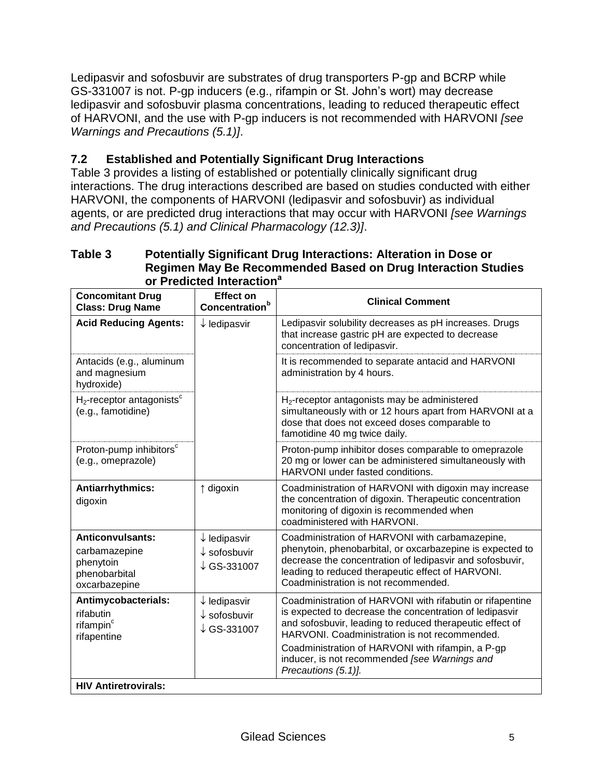Ledipasvir and sofosbuvir are substrates of drug transporters P-gp and BCRP while GS-331007 is not. P-gp inducers (e.g., rifampin or St. John's wort) may decrease ledipasvir and sofosbuvir plasma concentrations, leading to reduced therapeutic effect of HARVONI, and the use with P-gp inducers is not recommended with HARVONI *[see Warnings and Precautions (5.1)]*.

# **7.2 Established and Potentially Significant Drug Interactions**

Table 3 provides a listing of established or potentially clinically significant drug interactions. The drug interactions described are based on studies conducted with either HARVONI, the components of HARVONI (ledipasvir and sofosbuvir) as individual agents, or are predicted drug interactions that may occur with HARVONI *[see Warnings and Precautions (5.1) and Clinical Pharmacology (12.3)]*.

#### **Table 3 Potentially Significant Drug Interactions: Alteration in Dose or Regimen May Be Recommended Based on Drug Interaction Studies or Predicted Interaction<sup>a</sup>**

| <b>Concomitant Drug</b><br><b>Class: Drug Name</b>                                      | <b>Effect on</b><br>Concentration <sup>b</sup>                               | <b>Clinical Comment</b>                                                                                                                                                                                                                                                                                                                                        |
|-----------------------------------------------------------------------------------------|------------------------------------------------------------------------------|----------------------------------------------------------------------------------------------------------------------------------------------------------------------------------------------------------------------------------------------------------------------------------------------------------------------------------------------------------------|
| <b>Acid Reducing Agents:</b>                                                            | $\downarrow$ ledipasvir                                                      | Ledipasvir solubility decreases as pH increases. Drugs<br>that increase gastric pH are expected to decrease<br>concentration of ledipasvir.                                                                                                                                                                                                                    |
| Antacids (e.g., aluminum<br>and magnesium<br>hydroxide)                                 |                                                                              | It is recommended to separate antacid and HARVONI<br>administration by 4 hours.                                                                                                                                                                                                                                                                                |
| $H_2$ -receptor antagonists $^c$<br>(e.g., famotidine)                                  |                                                                              | $H_2$ -receptor antagonists may be administered<br>simultaneously with or 12 hours apart from HARVONI at a<br>dose that does not exceed doses comparable to<br>famotidine 40 mg twice daily.                                                                                                                                                                   |
| Proton-pump inhibitors <sup>c</sup><br>(e.g., omeprazole)                               |                                                                              | Proton-pump inhibitor doses comparable to omeprazole<br>20 mg or lower can be administered simultaneously with<br>HARVONI under fasted conditions.                                                                                                                                                                                                             |
| Antiarrhythmics:<br>digoxin                                                             | $\uparrow$ digoxin                                                           | Coadministration of HARVONI with digoxin may increase<br>the concentration of digoxin. Therapeutic concentration<br>monitoring of digoxin is recommended when<br>coadministered with HARVONI.                                                                                                                                                                  |
| <b>Anticonvulsants:</b><br>carbamazepine<br>phenytoin<br>phenobarbital<br>oxcarbazepine | $\downarrow$ ledipasvir<br>$\downarrow$ sofosbuvir<br>$\downarrow$ GS-331007 | Coadministration of HARVONI with carbamazepine,<br>phenytoin, phenobarbital, or oxcarbazepine is expected to<br>decrease the concentration of ledipasvir and sofosbuvir,<br>leading to reduced therapeutic effect of HARVONI.<br>Coadministration is not recommended.                                                                                          |
| Antimycobacterials:<br>rifabutin<br>rifampin <sup>c</sup><br>rifapentine                | $\downarrow$ ledipasvir<br>$\downarrow$ sofosbuvir<br>$\downarrow$ GS-331007 | Coadministration of HARVONI with rifabutin or rifapentine<br>is expected to decrease the concentration of ledipasvir<br>and sofosbuvir, leading to reduced therapeutic effect of<br>HARVONI. Coadministration is not recommended.<br>Coadministration of HARVONI with rifampin, a P-gp<br>inducer, is not recommended [see Warnings and<br>Precautions (5.1)]. |
| <b>HIV Antiretrovirals:</b>                                                             |                                                                              |                                                                                                                                                                                                                                                                                                                                                                |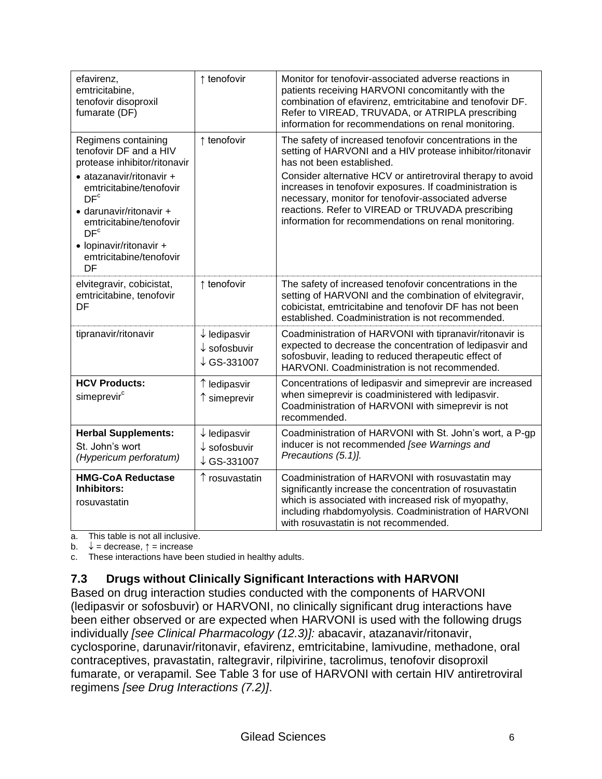| efavirenz,<br>emtricitabine,<br>tenofovir disoproxil<br>fumarate (DF)                                                                                                                                                                                                                        | ↑ tenofovir                                                      | Monitor for tenofovir-associated adverse reactions in<br>patients receiving HARVONI concomitantly with the<br>combination of efavirenz, emtricitabine and tenofovir DF.<br>Refer to VIREAD, TRUVADA, or ATRIPLA prescribing<br>information for recommendations on renal monitoring.                                                                                                                                                              |
|----------------------------------------------------------------------------------------------------------------------------------------------------------------------------------------------------------------------------------------------------------------------------------------------|------------------------------------------------------------------|--------------------------------------------------------------------------------------------------------------------------------------------------------------------------------------------------------------------------------------------------------------------------------------------------------------------------------------------------------------------------------------------------------------------------------------------------|
| Regimens containing<br>tenofovir DF and a HIV<br>protease inhibitor/ritonavir<br>• atazanavir/ritonavir +<br>emtricitabine/tenofovir<br>DF <sup>c</sup><br>· darunavir/ritonavir +<br>emtricitabine/tenofovir<br>DF <sup>c</sup><br>• lopinavir/ritonavir +<br>emtricitabine/tenofovir<br>DF | ↑ tenofovir                                                      | The safety of increased tenofovir concentrations in the<br>setting of HARVONI and a HIV protease inhibitor/ritonavir<br>has not been established.<br>Consider alternative HCV or antiretroviral therapy to avoid<br>increases in tenofovir exposures. If coadministration is<br>necessary, monitor for tenofovir-associated adverse<br>reactions. Refer to VIREAD or TRUVADA prescribing<br>information for recommendations on renal monitoring. |
| elvitegravir, cobicistat,<br>emtricitabine, tenofovir<br>DF                                                                                                                                                                                                                                  | ↑ tenofovir                                                      | The safety of increased tenofovir concentrations in the<br>setting of HARVONI and the combination of elvitegravir,<br>cobicistat, emtricitabine and tenofovir DF has not been<br>established. Coadministration is not recommended.                                                                                                                                                                                                               |
| tipranavir/ritonavir                                                                                                                                                                                                                                                                         | $\downarrow$ ledipasvir<br>$\downarrow$ sofosbuvir<br>↓GS-331007 | Coadministration of HARVONI with tipranavir/ritonavir is<br>expected to decrease the concentration of ledipasvir and<br>sofosbuvir, leading to reduced therapeutic effect of<br>HARVONI. Coadministration is not recommended.                                                                                                                                                                                                                    |
| <b>HCV Products:</b><br>simeprevir <sup>c</sup>                                                                                                                                                                                                                                              | ↑ ledipasvir<br>↑ simeprevir                                     | Concentrations of ledipasvir and simeprevir are increased<br>when simeprevir is coadministered with ledipasvir.<br>Coadministration of HARVONI with simeprevir is not<br>recommended.                                                                                                                                                                                                                                                            |
| <b>Herbal Supplements:</b><br>St. John's wort<br>(Hypericum perforatum)                                                                                                                                                                                                                      | $\downarrow$ ledipasvir<br>$\downarrow$ sofosbuvir<br>↓GS-331007 | Coadministration of HARVONI with St. John's wort, a P-gp<br>inducer is not recommended [see Warnings and<br>Precautions (5.1)].                                                                                                                                                                                                                                                                                                                  |
| <b>HMG-CoA Reductase</b><br><b>Inhibitors:</b><br>rosuvastatin                                                                                                                                                                                                                               | ↑ rosuvastatin                                                   | Coadministration of HARVONI with rosuvastatin may<br>significantly increase the concentration of rosuvastatin<br>which is associated with increased risk of myopathy,<br>including rhabdomyolysis. Coadministration of HARVONI<br>with rosuvastatin is not recommended.                                                                                                                                                                          |

a. This table is not all inclusive.

b.  $\downarrow$  = decrease,  $\uparrow$  = increase

c. These interactions have been studied in healthy adults.

# **7.3 Drugs without Clinically Significant Interactions with HARVONI**

Based on drug interaction studies conducted with the components of HARVONI (ledipasvir or sofosbuvir) or HARVONI, no clinically significant drug interactions have been either observed or are expected when HARVONI is used with the following drugs individually *[see Clinical Pharmacology (12.3)]:* abacavir, atazanavir/ritonavir, cyclosporine, darunavir/ritonavir, efavirenz, emtricitabine, lamivudine, methadone, oral contraceptives, pravastatin, raltegravir, rilpivirine, tacrolimus, tenofovir disoproxil fumarate, or verapamil. See Table 3 for use of HARVONI with certain HIV antiretroviral regimens *[see Drug Interactions (7.2)]*.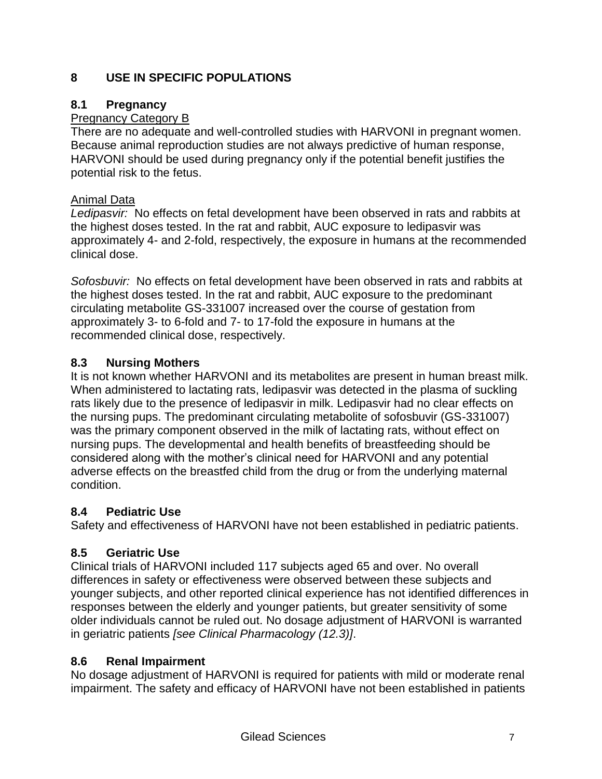# **8 USE IN SPECIFIC POPULATIONS**

### **8.1 Pregnancy**

# Pregnancy Category B

There are no adequate and well-controlled studies with HARVONI in pregnant women. Because animal reproduction studies are not always predictive of human response, HARVONI should be used during pregnancy only if the potential benefit justifies the potential risk to the fetus.

### Animal Data

*Ledipasvir:* No effects on fetal development have been observed in rats and rabbits at the highest doses tested. In the rat and rabbit, AUC exposure to ledipasvir was approximately 4- and 2-fold, respectively, the exposure in humans at the recommended clinical dose.

*Sofosbuvir:* No effects on fetal development have been observed in rats and rabbits at the highest doses tested. In the rat and rabbit, AUC exposure to the predominant circulating metabolite GS-331007 increased over the course of gestation from approximately 3- to 6-fold and 7- to 17-fold the exposure in humans at the recommended clinical dose, respectively.

# **8.3 Nursing Mothers**

It is not known whether HARVONI and its metabolites are present in human breast milk. When administered to lactating rats, ledipasvir was detected in the plasma of suckling rats likely due to the presence of ledipasvir in milk. Ledipasvir had no clear effects on the nursing pups. The predominant circulating metabolite of sofosbuvir (GS-331007) was the primary component observed in the milk of lactating rats, without effect on nursing pups. The developmental and health benefits of breastfeeding should be considered along with the mother's clinical need for HARVONI and any potential adverse effects on the breastfed child from the drug or from the underlying maternal condition.

# **8.4 Pediatric Use**

Safety and effectiveness of HARVONI have not been established in pediatric patients.

# **8.5 Geriatric Use**

Clinical trials of HARVONI included 117 subjects aged 65 and over. No overall differences in safety or effectiveness were observed between these subjects and younger subjects, and other reported clinical experience has not identified differences in responses between the elderly and younger patients, but greater sensitivity of some older individuals cannot be ruled out. No dosage adjustment of HARVONI is warranted in geriatric patients *[see Clinical Pharmacology (12.3)]*.

# **8.6 Renal Impairment**

No dosage adjustment of HARVONI is required for patients with mild or moderate renal impairment. The safety and efficacy of HARVONI have not been established in patients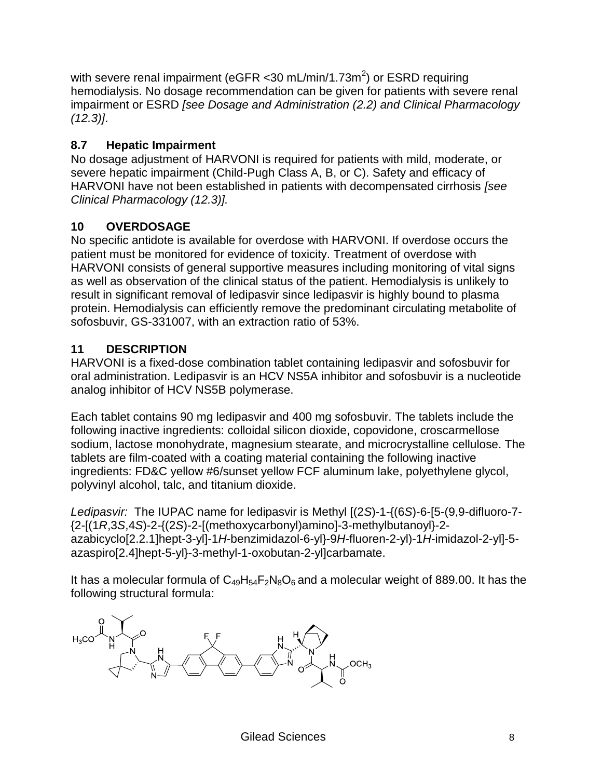with severe renal impairment (eGFR <30 mL/min/1.73m<sup>2</sup>) or ESRD requiring hemodialysis. No dosage recommendation can be given for patients with severe renal impairment or ESRD *[see Dosage and Administration (2.2) and Clinical Pharmacology (12.3)]*.

# **8.7 Hepatic Impairment**

No dosage adjustment of HARVONI is required for patients with mild, moderate, or severe hepatic impairment (Child-Pugh Class A, B, or C). Safety and efficacy of HARVONI have not been established in patients with decompensated cirrhosis *[see Clinical Pharmacology (12.3)].*

# **10 OVERDOSAGE**

No specific antidote is available for overdose with HARVONI. If overdose occurs the patient must be monitored for evidence of toxicity. Treatment of overdose with HARVONI consists of general supportive measures including monitoring of vital signs as well as observation of the clinical status of the patient. Hemodialysis is unlikely to result in significant removal of ledipasvir since ledipasvir is highly bound to plasma protein. Hemodialysis can efficiently remove the predominant circulating metabolite of sofosbuvir, GS-331007, with an extraction ratio of 53%.

# **11 DESCRIPTION**

HARVONI is a fixed-dose combination tablet containing ledipasvir and sofosbuvir for oral administration. Ledipasvir is an HCV NS5A inhibitor and sofosbuvir is a nucleotide analog inhibitor of HCV NS5B polymerase.

Each tablet contains 90 mg ledipasvir and 400 mg sofosbuvir. The tablets include the following inactive ingredients: colloidal silicon dioxide, copovidone, croscarmellose sodium, lactose monohydrate, magnesium stearate, and microcrystalline cellulose. The tablets are film-coated with a coating material containing the following inactive ingredients: FD&C yellow #6/sunset yellow FCF aluminum lake, polyethylene glycol, polyvinyl alcohol, talc, and titanium dioxide.

*Ledipasvir:* The IUPAC name for ledipasvir is Methyl [(2*S*)-1-{(6*S*)-6-[5-(9,9-difluoro-7- {2-[(1*R*,3*S*,4*S*)-2-{(2*S*)-2-[(methoxycarbonyl)amino]-3-methylbutanoyl}-2 azabicyclo[2.2.1]hept-3-yl]-1*H*-benzimidazol-6-yl}-9*H*-fluoren-2-yl)-1*H*-imidazol-2-yl]-5 azaspiro[2.4]hept-5-yl}-3-methyl-1-oxobutan-2-yl]carbamate.

It has a molecular formula of  $C_{49}H_{54}F_2N_8O_6$  and a molecular weight of 889.00. It has the following structural formula:

 $OCH<sub>3</sub>$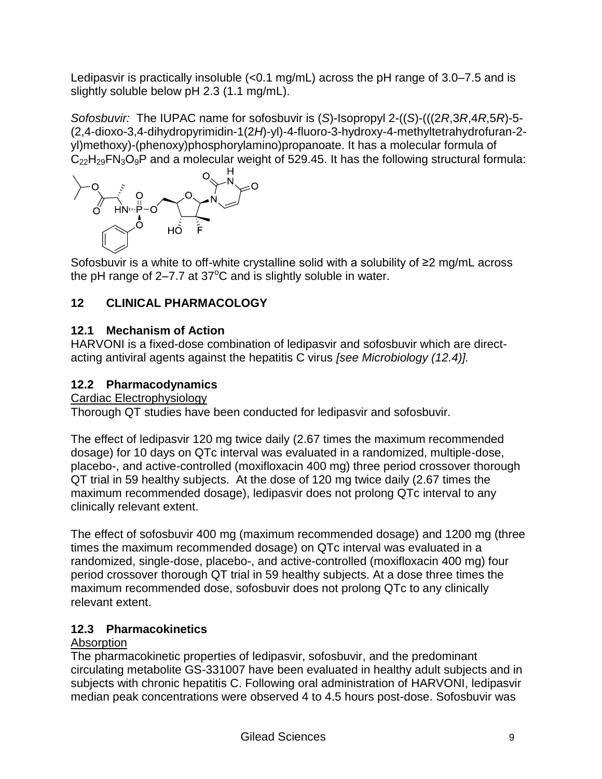Ledipasvir is practically insoluble (<0.1 mg/mL) across the pH range of 3.0–7.5 and is slightly soluble below pH 2.3 (1.1 mg/mL).

*Sofosbuvir:* The IUPAC name for sofosbuvir is (*S*)-Isopropyl 2-((*S*)-(((2*R*,3*R*,4*R*,5*R*)-5- (2,4-dioxo-3,4-dihydropyrimidin-1(2*H*)-yl)-4-fluoro-3-hydroxy-4-methyltetrahydrofuran-2 yl)methoxy)-(phenoxy)phosphorylamino)propanoate. It has a molecular formula of  $C_{22}H_{29}FN_3O_9P$  and a molecular weight of 529.45. It has the following structural formula:



Sofosbuvir is a white to off-white crystalline solid with a solubility of ≥2 mg/mL across the pH range of  $2-7.7$  at  $37^{\circ}$ C and is slightly soluble in water.

# **12 CLINICAL PHARMACOLOGY**

# **12.1 Mechanism of Action**

HARVONI is a fixed-dose combination of ledipasvir and sofosbuvir which are directacting antiviral agents against the hepatitis C virus *[see Microbiology (12.4)].*

# **12.2 Pharmacodynamics**

Cardiac Electrophysiology

Thorough QT studies have been conducted for ledipasvir and sofosbuvir.

The effect of ledipasvir 120 mg twice daily (2.67 times the maximum recommended dosage) for 10 days on QTc interval was evaluated in a randomized, multiple-dose, placebo-, and active-controlled (moxifloxacin 400 mg) three period crossover thorough QT trial in 59 healthy subjects. At the dose of 120 mg twice daily (2.67 times the maximum recommended dosage), ledipasvir does not prolong QTc interval to any clinically relevant extent.

The effect of sofosbuvir 400 mg (maximum recommended dosage) and 1200 mg (three times the maximum recommended dosage) on QTc interval was evaluated in a randomized, single-dose, placebo-, and active-controlled (moxifloxacin 400 mg) four period crossover thorough QT trial in 59 healthy subjects. At a dose three times the maximum recommended dose, sofosbuvir does not prolong QTc to any clinically relevant extent.

# **12.3 Pharmacokinetics**

# **Absorption**

The pharmacokinetic properties of ledipasvir, sofosbuvir, and the predominant circulating metabolite GS-331007 have been evaluated in healthy adult subjects and in subjects with chronic hepatitis C. Following oral administration of HARVONI, ledipasvir median peak concentrations were observed 4 to 4.5 hours post-dose. Sofosbuvir was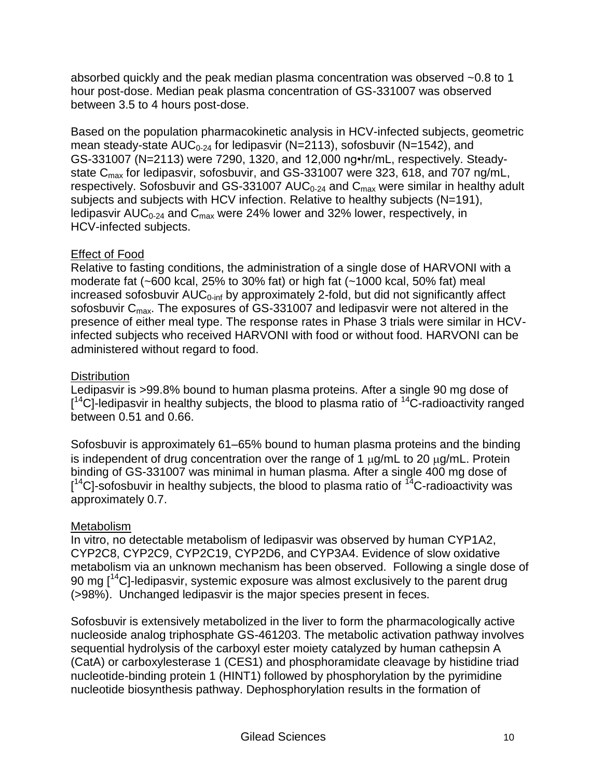absorbed quickly and the peak median plasma concentration was observed ~0.8 to 1 hour post-dose. Median peak plasma concentration of GS-331007 was observed between 3.5 to 4 hours post-dose.

Based on the population pharmacokinetic analysis in HCV-infected subjects, geometric mean steady-state  $AUC_{0.24}$  for ledipasvir (N=2113), sofosbuvir (N=1542), and GS-331007 (N=2113) were 7290, 1320, and 12,000 ng•hr/mL, respectively. Steadystate C<sub>max</sub> for ledipasvir, sofosbuvir, and GS-331007 were 323, 618, and 707 ng/mL, respectively. Sofosbuvir and GS-331007 AUC $_{0-24}$  and C<sub>max</sub> were similar in healthy adult subjects and subjects with HCV infection. Relative to healthy subjects (N=191), ledipasvir AUC<sub>0-24</sub> and C<sub>max</sub> were 24% lower and 32% lower, respectively, in HCV-infected subjects.

### Effect of Food

Relative to fasting conditions, the administration of a single dose of HARVONI with a moderate fat (~600 kcal, 25% to 30% fat) or high fat (~1000 kcal, 50% fat) meal increased sofosbuvir  $AUC_{0\text{-inf}}$  by approximately 2-fold, but did not significantly affect sofosbuvir C<sub>max</sub>. The exposures of GS-331007 and ledipasvir were not altered in the presence of either meal type. The response rates in Phase 3 trials were similar in HCVinfected subjects who received HARVONI with food or without food. HARVONI can be administered without regard to food.

# **Distribution**

Ledipasvir is >99.8% bound to human plasma proteins. After a single 90 mg dose of  $[$ <sup>14</sup>C]-ledipasvir in healthy subjects, the blood to plasma ratio of  $^{14}$ C-radioactivity ranged between 0.51 and 0.66.

Sofosbuvir is approximately 61–65% bound to human plasma proteins and the binding is independent of drug concentration over the range of 1  $\mu q/mL$  to 20  $\mu q/mL$ . Protein binding of GS-331007 was minimal in human plasma. After a single 400 mg dose of  $[$ <sup>14</sup>C]-sofosbuvir in healthy subjects, the blood to plasma ratio of <sup>14</sup>C-radioactivity was approximately 0.7.

# **Metabolism**

In vitro, no detectable metabolism of ledipasvir was observed by human CYP1A2, CYP2C8, CYP2C9, CYP2C19, CYP2D6, and CYP3A4. Evidence of slow oxidative metabolism via an unknown mechanism has been observed. Following a single dose of 90 mg  $[14C]$ -ledipasvir, systemic exposure was almost exclusively to the parent drug (>98%). Unchanged ledipasvir is the major species present in feces.

Sofosbuvir is extensively metabolized in the liver to form the pharmacologically active nucleoside analog triphosphate GS-461203. The metabolic activation pathway involves sequential hydrolysis of the carboxyl ester moiety catalyzed by human cathepsin A (CatA) or carboxylesterase 1 (CES1) and phosphoramidate cleavage by histidine triad nucleotide-binding protein 1 (HINT1) followed by phosphorylation by the pyrimidine nucleotide biosynthesis pathway. Dephosphorylation results in the formation of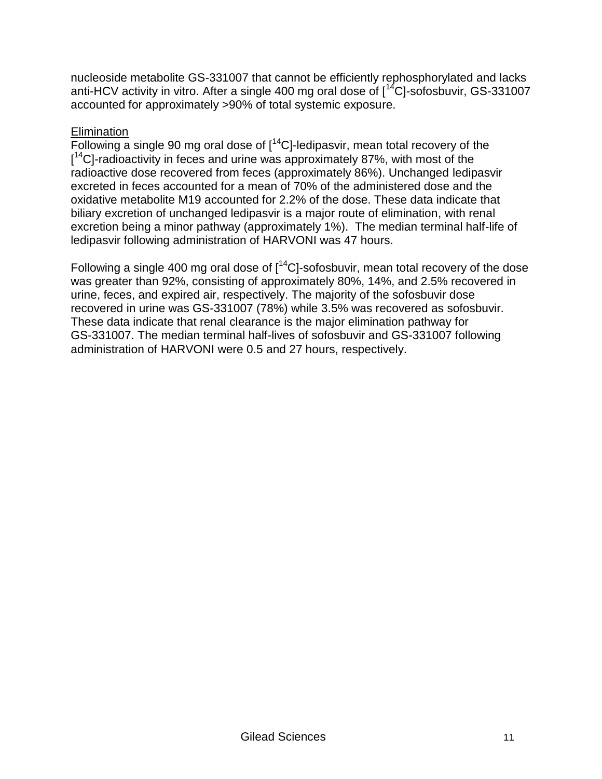nucleoside metabolite GS-331007 that cannot be efficiently rephosphorylated and lacks anti-HCV activity in vitro. After a single 400 mg oral dose of [<sup>14</sup>C]-sofosbuvir, GS-331007 accounted for approximately >90% of total systemic exposure.

### **Elimination**

Following a single 90 mg oral dose of  $[14C]$ -ledipasvir, mean total recovery of the [<sup>14</sup>C]-radioactivity in feces and urine was approximately 87%, with most of the radioactive dose recovered from feces (approximately 86%). Unchanged ledipasvir excreted in feces accounted for a mean of 70% of the administered dose and the oxidative metabolite M19 accounted for 2.2% of the dose. These data indicate that biliary excretion of unchanged ledipasvir is a major route of elimination, with renal excretion being a minor pathway (approximately 1%). The median terminal half-life of ledipasvir following administration of HARVONI was 47 hours.

Following a single 400 mg oral dose of  $1^{14}$ Cl-sofosbuvir, mean total recovery of the dose was greater than 92%, consisting of approximately 80%, 14%, and 2.5% recovered in urine, feces, and expired air, respectively. The majority of the sofosbuvir dose recovered in urine was GS-331007 (78%) while 3.5% was recovered as sofosbuvir. These data indicate that renal clearance is the major elimination pathway for GS-331007. The median terminal half-lives of sofosbuvir and GS-331007 following administration of HARVONI were 0.5 and 27 hours, respectively.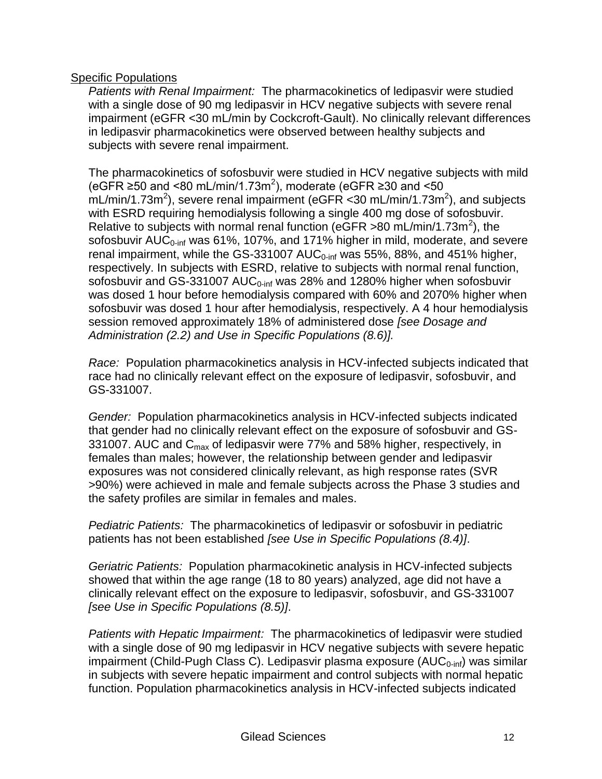#### Specific Populations

*Patients with Renal Impairment:* The pharmacokinetics of ledipasvir were studied with a single dose of 90 mg ledipasvir in HCV negative subjects with severe renal impairment (eGFR <30 mL/min by Cockcroft-Gault). No clinically relevant differences in ledipasvir pharmacokinetics were observed between healthy subjects and subjects with severe renal impairment.

The pharmacokinetics of sofosbuvir were studied in HCV negative subjects with mild (eGFR ≥50 and <80 mL/min/1.73m<sup>2</sup>), moderate (eGFR ≥30 and <50  $mL/min/1.73m^2$ ), severe renal impairment (eGFR < 30 mL/min/1.73m<sup>2</sup>), and subjects with ESRD requiring hemodialysis following a single 400 mg dose of sofosbuvir. Relative to subjects with normal renal function (eGFR >80 mL/min/1.73m<sup>2</sup>), the sofosbuvir  $AUC_{0\text{-inf}}$  was 61%, 107%, and 171% higher in mild, moderate, and severe renal impairment, while the GS-331007 AUC<sub>0-inf</sub> was 55%, 88%, and 451% higher, respectively. In subjects with ESRD, relative to subjects with normal renal function, sofosbuvir and GS-331007 AUC $_{0-inf}$  was 28% and 1280% higher when sofosbuvir was dosed 1 hour before hemodialysis compared with 60% and 2070% higher when sofosbuvir was dosed 1 hour after hemodialysis, respectively. A 4 hour hemodialysis session removed approximately 18% of administered dose *[see Dosage and Administration (2.2) and Use in Specific Populations (8.6)].*

*Race:* Population pharmacokinetics analysis in HCV-infected subjects indicated that race had no clinically relevant effect on the exposure of ledipasvir, sofosbuvir, and GS-331007.

*Gender:* Population pharmacokinetics analysis in HCV-infected subjects indicated that gender had no clinically relevant effect on the exposure of sofosbuvir and GS-331007. AUC and  $C_{\text{max}}$  of ledipasvir were 77% and 58% higher, respectively, in females than males; however, the relationship between gender and ledipasvir exposures was not considered clinically relevant, as high response rates (SVR >90%) were achieved in male and female subjects across the Phase 3 studies and the safety profiles are similar in females and males.

*Pediatric Patients:* The pharmacokinetics of ledipasvir or sofosbuvir in pediatric patients has not been established *[see Use in Specific Populations (8.4)]*.

*Geriatric Patients:* Population pharmacokinetic analysis in HCV-infected subjects showed that within the age range (18 to 80 years) analyzed, age did not have a clinically relevant effect on the exposure to ledipasvir, sofosbuvir, and GS-331007 *[see Use in Specific Populations (8.5)]*.

*Patients with Hepatic Impairment:* The pharmacokinetics of ledipasvir were studied with a single dose of 90 mg ledipasvir in HCV negative subjects with severe hepatic impairment (Child-Pugh Class C). Ledipasvir plasma exposure ( $AUC_{0\text{-inf}}$ ) was similar in subjects with severe hepatic impairment and control subjects with normal hepatic function. Population pharmacokinetics analysis in HCV-infected subjects indicated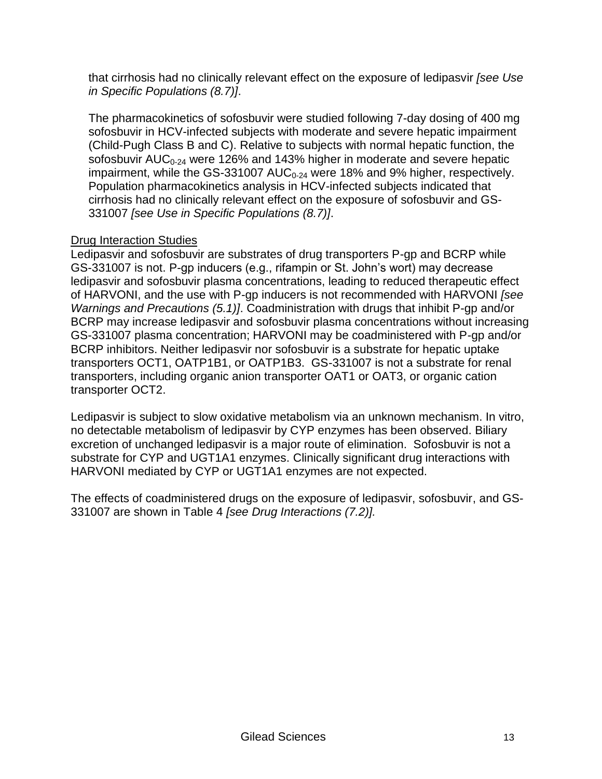that cirrhosis had no clinically relevant effect on the exposure of ledipasvir *[see Use in Specific Populations (8.7)]*.

The pharmacokinetics of sofosbuvir were studied following 7-day dosing of 400 mg sofosbuvir in HCV-infected subjects with moderate and severe hepatic impairment (Child-Pugh Class B and C). Relative to subjects with normal hepatic function, the sofosbuvir  $AUC_{0.24}$  were 126% and 143% higher in moderate and severe hepatic impairment, while the GS-331007  $AUC_{0.24}$  were 18% and 9% higher, respectively. Population pharmacokinetics analysis in HCV-infected subjects indicated that cirrhosis had no clinically relevant effect on the exposure of sofosbuvir and GS-331007 *[see Use in Specific Populations (8.7)]*.

# Drug Interaction Studies

Ledipasvir and sofosbuvir are substrates of drug transporters P-gp and BCRP while GS-331007 is not. P-gp inducers (e.g., rifampin or St. John's wort) may decrease ledipasvir and sofosbuvir plasma concentrations, leading to reduced therapeutic effect of HARVONI, and the use with P-gp inducers is not recommended with HARVONI *[see Warnings and Precautions (5.1)]*. Coadministration with drugs that inhibit P-gp and/or BCRP may increase ledipasvir and sofosbuvir plasma concentrations without increasing GS-331007 plasma concentration; HARVONI may be coadministered with P-gp and/or BCRP inhibitors. Neither ledipasvir nor sofosbuvir is a substrate for hepatic uptake transporters OCT1, OATP1B1, or OATP1B3. GS-331007 is not a substrate for renal transporters, including organic anion transporter OAT1 or OAT3, or organic cation transporter OCT2.

Ledipasvir is subject to slow oxidative metabolism via an unknown mechanism. In vitro, no detectable metabolism of ledipasvir by CYP enzymes has been observed. Biliary excretion of unchanged ledipasvir is a major route of elimination. Sofosbuvir is not a substrate for CYP and UGT1A1 enzymes. Clinically significant drug interactions with HARVONI mediated by CYP or UGT1A1 enzymes are not expected.

The effects of coadministered drugs on the exposure of ledipasvir, sofosbuvir, and GS-331007 are shown in Table 4 *[see Drug Interactions (7.2)].*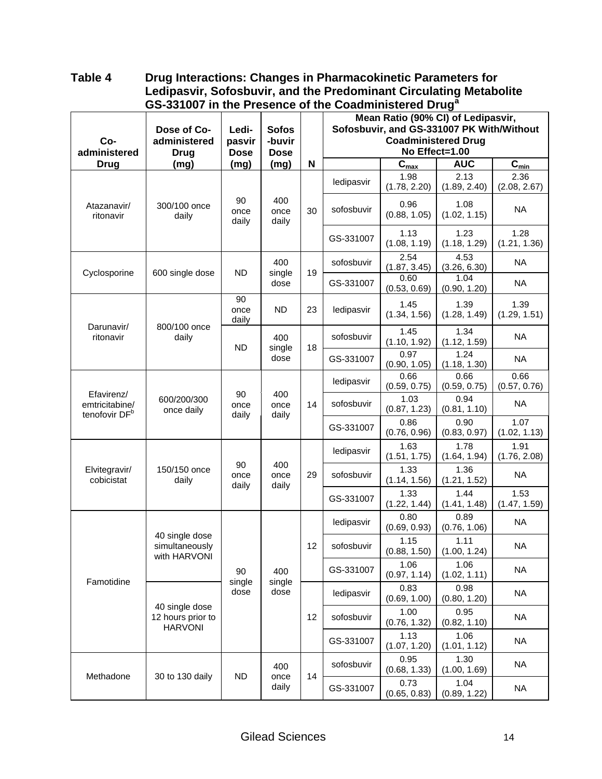#### **Table 4 Drug Interactions: Changes in Pharmacokinetic Parameters for Ledipasvir, Sofosbuvir, and the Predominant Circulating Metabolite GS-331007 in the Presence of the Coadministered Drug<sup>a</sup>**

| Co-<br>administered                                       | Dose of Co-<br>administered<br><b>Drug</b>       | Ledi-<br>pasvir<br><b>Dose</b> | <b>Sofos</b><br>-buvir<br><b>Dose</b> |             | Mean Ratio (90% CI) of Ledipasvir,<br>Sofosbuvir, and GS-331007 PK With/Without<br><b>Coadministered Drug</b><br>No Effect=1.00 |                           |                      |                             |
|-----------------------------------------------------------|--------------------------------------------------|--------------------------------|---------------------------------------|-------------|---------------------------------------------------------------------------------------------------------------------------------|---------------------------|----------------------|-----------------------------|
| <b>Drug</b>                                               | (mg)                                             | (mg)                           | (mg)                                  | $\mathbf N$ |                                                                                                                                 | $\mathbf{C}_{\text{max}}$ | <b>AUC</b>           | $\overline{C_{\text{min}}}$ |
|                                                           |                                                  |                                |                                       |             | ledipasvir                                                                                                                      | 1.98<br>(1.78, 2.20)      | 2.13<br>(1.89, 2.40) | 2.36<br>(2.08, 2.67)        |
| Atazanavir/<br>ritonavir                                  | 300/100 once<br>daily                            | 90<br>once<br>daily            | 400<br>once<br>daily                  | 30          | sofosbuvir                                                                                                                      | 0.96<br>(0.88, 1.05)      | 1.08<br>(1.02, 1.15) | <b>NA</b>                   |
|                                                           |                                                  |                                |                                       |             | GS-331007                                                                                                                       | 1.13<br>(1.08, 1.19)      | 1.23<br>(1.18, 1.29) | 1.28<br>(1.21, 1.36)        |
| Cyclosporine                                              | 600 single dose                                  | <b>ND</b>                      | 400<br>single                         | 19          | sofosbuvir                                                                                                                      | 2.54<br>(1.87, 3.45)      | 4.53<br>(3.26, 6.30) | <b>NA</b>                   |
|                                                           |                                                  |                                | dose                                  |             | GS-331007                                                                                                                       | 0.60<br>(0.53, 0.69)      | 1.04<br>(0.90, 1.20) | <b>NA</b>                   |
|                                                           |                                                  | 90<br>once<br>daily            | <b>ND</b>                             | 23          | ledipasvir                                                                                                                      | 1.45<br>(1.34, 1.56)      | 1.39<br>(1.28, 1.49) | 1.39<br>(1.29, 1.51)        |
| Darunavir/<br>ritonavir                                   | 800/100 once<br>daily                            | <b>ND</b>                      | 400                                   | 18          | sofosbuvir                                                                                                                      | 1.45<br>(1.10, 1.92)      | 1.34<br>(1.12, 1.59) | <b>NA</b>                   |
|                                                           |                                                  |                                | single<br>dose                        |             | GS-331007                                                                                                                       | 0.97<br>(0.90, 1.05)      | 1.24<br>(1.18, 1.30) | <b>NA</b>                   |
|                                                           |                                                  |                                | 400<br>once<br>daily                  | 14          | ledipasvir                                                                                                                      | 0.66<br>(0.59, 0.75)      | 0.66<br>(0.59, 0.75) | 0.66<br>(0.57, 0.76)        |
| Efavirenz/<br>emtricitabine/<br>tenofovir DF <sup>b</sup> | 600/200/300<br>once daily                        | 90<br>once<br>daily            |                                       |             | sofosbuvir                                                                                                                      | 1.03<br>(0.87, 1.23)      | 0.94<br>(0.81, 1.10) | <b>NA</b>                   |
|                                                           |                                                  |                                |                                       |             | GS-331007                                                                                                                       | 0.86<br>(0.76, 0.96)      | 0.90<br>(0.83, 0.97) | 1.07<br>(1.02, 1.13)        |
|                                                           |                                                  |                                |                                       | ledipasvir  | 1.63<br>(1.51, 1.75)                                                                                                            | 1.78<br>(1.64, 1.94)      | 1.91<br>(1.76, 2.08) |                             |
| Elvitegravir/<br>cobicistat                               | 150/150 once<br>daily                            | 90<br>once<br>daily            | 400<br>once<br>daily                  | 29          | sofosbuvir                                                                                                                      | 1.33<br>(1.14, 1.56)      | 1.36<br>(1.21, 1.52) | <b>NA</b>                   |
|                                                           |                                                  |                                |                                       |             | GS-331007                                                                                                                       | 1.33<br>(1.22, 1.44)      | 1.44<br>(1.41, 1.48) | 1.53<br>(1.47, 1.59)        |
|                                                           |                                                  |                                |                                       |             | ledipasvir                                                                                                                      | 0.80<br>(0.69, 0.93)      | 0.89<br>(0.76, 1.06) | <b>NA</b>                   |
|                                                           | 40 single dose<br>simultaneously<br>with HARVONI |                                |                                       | 12          | sofosbuvir                                                                                                                      | 1.15<br>(0.88, 1.50)      | 1.11<br>(1.00, 1.24) | <b>NA</b>                   |
|                                                           |                                                  | 90                             | 400                                   |             | GS-331007                                                                                                                       | 1.06<br>(0.97, 1.14)      | 1.06<br>(1.02, 1.11) | <b>NA</b>                   |
| Famotidine                                                |                                                  | single<br>dose                 | single<br>dose                        |             | ledipasvir                                                                                                                      | 0.83<br>(0.69, 1.00)      | 0.98<br>(0.80, 1.20) | <b>NA</b>                   |
|                                                           | 40 single dose<br>12 hours prior to              |                                |                                       | 12          | sofosbuvir                                                                                                                      | 1.00<br>(0.76, 1.32)      | 0.95<br>(0.82, 1.10) | <b>NA</b>                   |
|                                                           | <b>HARVONI</b>                                   |                                |                                       |             | GS-331007                                                                                                                       | 1.13<br>(1.07, 1.20)      | 1.06<br>(1.01, 1.12) | <b>NA</b>                   |
|                                                           |                                                  |                                | 400                                   |             | sofosbuvir                                                                                                                      | 0.95<br>(0.68, 1.33)      | 1.30<br>(1.00, 1.69) | <b>NA</b>                   |
| Methadone                                                 | 30 to 130 daily                                  | <b>ND</b>                      | once<br>daily                         | 14          | GS-331007                                                                                                                       | 0.73<br>(0.65, 0.83)      | 1.04<br>(0.89, 1.22) | <b>NA</b>                   |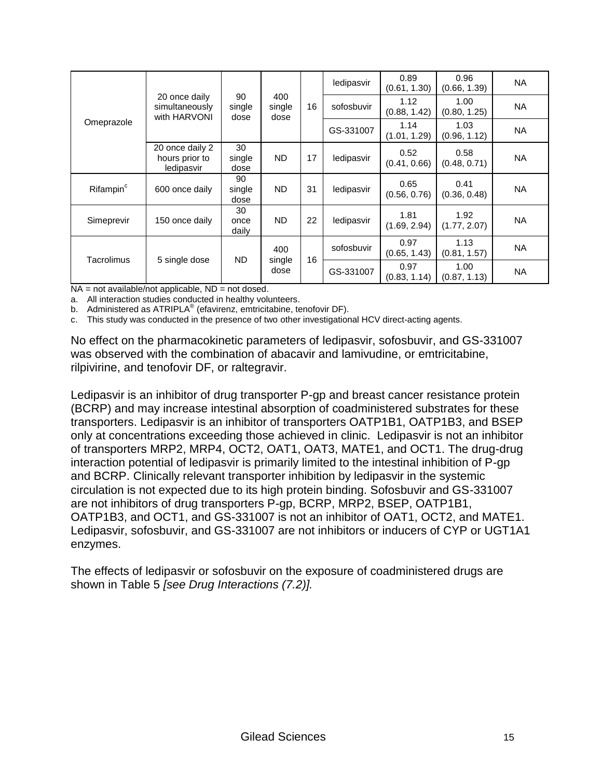|                                                            |                                                 |                      |                       | ledipasvir           | 0.89<br>(0.61, 1.30) | 0.96<br>(0.66, 1.39) | <b>NA</b>            |           |
|------------------------------------------------------------|-------------------------------------------------|----------------------|-----------------------|----------------------|----------------------|----------------------|----------------------|-----------|
|                                                            | 20 once daily<br>simultaneously<br>with HARVONI | 90<br>single<br>dose | 400<br>single<br>dose | 16                   | sofosbuvir           | 1.12<br>(0.88, 1.42) | 1.00<br>(0.80, 1.25) | NA        |
| Omeprazole                                                 |                                                 | GS-331007            | 1.14<br>(1.01, 1.29)  | 1.03<br>(0.96, 1.12) | <b>NA</b>            |                      |                      |           |
|                                                            | 20 once daily 2<br>hours prior to<br>ledipasvir | 30<br>single<br>dose | ND.                   | 17                   | ledipasvir           | 0.52<br>(0.41, 0.66) | 0.58<br>(0.48, 0.71) | <b>NA</b> |
| Rifampin <sup>c</sup>                                      | 600 once daily                                  | 90<br>single<br>dose | <b>ND</b>             | 31                   | ledipasvir           | 0.65<br>(0.56, 0.76) | 0.41<br>(0.36, 0.48) | <b>NA</b> |
| Simeprevir                                                 | 150 once daily                                  | 30<br>once<br>daily  | <b>ND</b>             | 22                   | ledipasvir           | 1.81<br>(1.69, 2.94) | 1.92<br>(1.77, 2.07) | <b>NA</b> |
|                                                            |                                                 |                      | 400                   | 16                   | sofosbuvir           | 0.97<br>(0.65, 1.43) | 1.13<br>(0.81, 1.57) | <b>NA</b> |
| <b>ND</b><br>Tacrolimus<br>5 single dose<br>single<br>dose |                                                 | GS-331007            | 0.97<br>(0.83, 1.14)  | 1.00<br>(0.87, 1.13) | NA                   |                      |                      |           |

 $NA = not available/not applicable$ ,  $ND = not closed$ .

a. All interaction studies conducted in healthy volunteers.

b. Administered as ATRIPLA<sup>®</sup> (efavirenz, emtricitabine, tenofovir DF).

c. This study was conducted in the presence of two other investigational HCV direct-acting agents.

No effect on the pharmacokinetic parameters of ledipasvir, sofosbuvir, and GS-331007 was observed with the combination of abacavir and lamivudine, or emtricitabine, rilpivirine, and tenofovir DF, or raltegravir.

Ledipasvir is an inhibitor of drug transporter P-gp and breast cancer resistance protein (BCRP) and may increase intestinal absorption of coadministered substrates for these transporters. Ledipasvir is an inhibitor of transporters OATP1B1, OATP1B3, and BSEP only at concentrations exceeding those achieved in clinic. Ledipasvir is not an inhibitor of transporters MRP2, MRP4, OCT2, OAT1, OAT3, MATE1, and OCT1. The drug-drug interaction potential of ledipasvir is primarily limited to the intestinal inhibition of P-gp and BCRP. Clinically relevant transporter inhibition by ledipasvir in the systemic circulation is not expected due to its high protein binding. Sofosbuvir and GS-331007 are not inhibitors of drug transporters P-gp, BCRP, MRP2, BSEP, OATP1B1, OATP1B3, and OCT1, and GS-331007 is not an inhibitor of OAT1, OCT2, and MATE1. Ledipasvir, sofosbuvir, and GS-331007 are not inhibitors or inducers of CYP or UGT1A1 enzymes.

The effects of ledipasvir or sofosbuvir on the exposure of coadministered drugs are shown in Table 5 *[see Drug Interactions (7.2)].*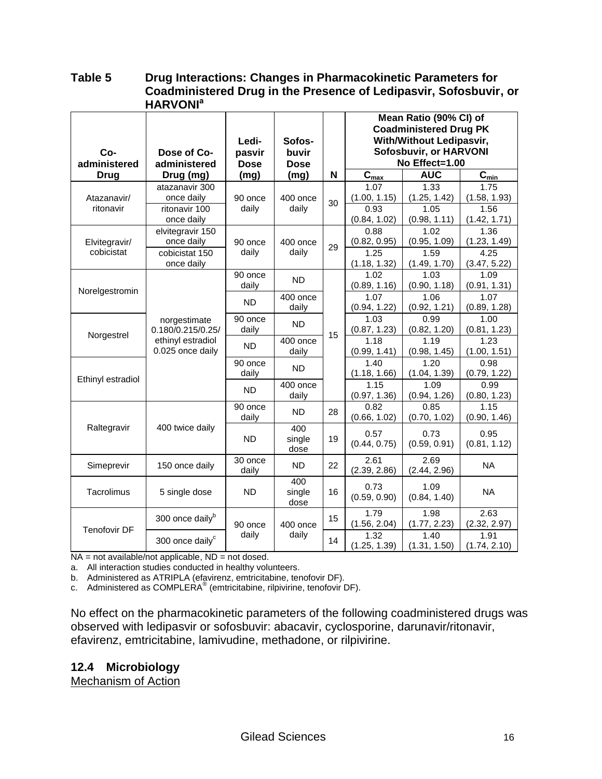#### **Table 5 Drug Interactions: Changes in Pharmacokinetic Parameters for Coadministered Drug in the Presence of Ledipasvir, Sofosbuvir, or HARVONI<sup>a</sup>**

|                     |                             |             |             |    |                             | Mean Ratio (90% CI) of        |                      |
|---------------------|-----------------------------|-------------|-------------|----|-----------------------------|-------------------------------|----------------------|
|                     |                             |             |             |    |                             | <b>Coadministered Drug PK</b> |                      |
|                     |                             | Ledi-       | Sofos-      |    |                             | With/Without Ledipasvir,      |                      |
| Co-                 | Dose of Co-                 | pasvir      | buvir       |    |                             | <b>Sofosbuvir, or HARVONI</b> |                      |
| administered        | administered                | <b>Dose</b> | <b>Dose</b> |    |                             | No Effect=1.00                |                      |
| <b>Drug</b>         | Drug (mg)                   | (mg)        | (mg)        | N  | $\overline{C}_{\text{max}}$ | <b>AUC</b>                    | $C_{min}$            |
|                     | atazanavir 300              |             |             |    | 1.07                        | 1.33                          | 1.75                 |
| Atazanavir/         | once daily                  | 90 once     | 400 once    | 30 | (1.00, 1.15)                | (1.25, 1.42)                  | (1.58, 1.93)         |
| ritonavir           | ritonavir 100               | daily       | daily       |    | 0.93                        | 1.05                          | 1.56                 |
|                     | once daily                  |             |             |    | (0.84, 1.02)                | (0.98, 1.11)                  | (1.42, 1.71)         |
|                     | elvitegravir 150            |             |             |    | 0.88                        | 1.02                          | 1.36                 |
| Elvitegravir/       | once daily                  | 90 once     | 400 once    | 29 | (0.82, 0.95)                | (0.95, 1.09)                  | (1.23, 1.49)         |
| cobicistat          | cobicistat 150              | daily       | daily       |    | 1.25                        | 1.59                          | 4.25                 |
|                     | once daily                  |             |             |    | (1.18, 1.32)                | (1.49, 1.70)                  | (3.47, 5.22)         |
|                     |                             | 90 once     | <b>ND</b>   |    | 1.02                        | 1.03                          | 1.09                 |
| Norelgestromin      |                             | daily       |             |    | (0.89, 1.16)                | (0.90, 1.18)                  | (0.91, 1.31)         |
|                     |                             | <b>ND</b>   | 400 once    |    | 1.07                        | 1.06                          | 1.07                 |
|                     |                             |             | daily       |    | (0.94, 1.22)                | (0.92, 1.21)                  | (0.89, 1.28)         |
|                     | norgestimate                | 90 once     | <b>ND</b>   |    | 1.03                        | 0.99                          | 1.00                 |
| Norgestrel          | 0.180/0.215/0.25/           | daily       |             | 15 | (0.87, 1.23)                | (0.82, 1.20)                  | (0.81, 1.23)         |
|                     | ethinyl estradiol           | <b>ND</b>   | 400 once    |    | 1.18                        | 1.19                          | 1.23                 |
|                     | 0.025 once daily            |             | daily       |    | (0.99, 1.41)                | (0.98, 1.45)                  | (1.00, 1.51)         |
|                     |                             | 90 once     | <b>ND</b>   |    | 1.40                        | 1.20                          | 0.98                 |
| Ethinyl estradiol   |                             | daily       |             |    | (1.18, 1.66)                | (1.04, 1.39)                  | (0.79, 1.22)         |
|                     |                             | <b>ND</b>   | 400 once    |    | 1.15                        | 1.09                          | 0.99                 |
|                     |                             | 90 once     | daily       |    | (0.97, 1.36)<br>0.82        | (0.94, 1.26)<br>0.85          | (0.80, 1.23)<br>1.15 |
|                     |                             | daily       | <b>ND</b>   | 28 | (0.66, 1.02)                | (0.70, 1.02)                  | (0.90, 1.46)         |
| Raltegravir         | 400 twice daily             |             | 400         |    |                             |                               |                      |
|                     |                             | <b>ND</b>   | single      | 19 | 0.57                        | 0.73                          | 0.95                 |
|                     |                             |             | dose        |    | (0.44, 0.75)                | (0.59, 0.91)                  | (0.81, 1.12)         |
|                     |                             | 30 once     |             |    | 2.61                        | 2.69                          |                      |
| Simeprevir          | 150 once daily              | daily       | <b>ND</b>   | 22 | (2.39, 2.86)                | (2.44, 2.96)                  | <b>NA</b>            |
|                     |                             |             | 400         |    |                             |                               |                      |
| Tacrolimus          | 5 single dose               | <b>ND</b>   | single      | 16 | 0.73<br>(0.59, 0.90)        | 1.09<br>(0.84, 1.40)          | <b>NA</b>            |
|                     |                             |             | dose        |    |                             |                               |                      |
|                     | 300 once daily <sup>b</sup> |             |             | 15 | 1.79                        | 1.98                          | 2.63                 |
| <b>Tenofovir DF</b> |                             | 90 once     | 400 once    |    | (1.56, 2.04)                | (1.77, 2.23)                  | (2.32, 2.97)         |
|                     | 300 once daily <sup>c</sup> | daily       | daily       | 14 | 1.32                        | 1.40                          | 1.91                 |
|                     |                             |             |             |    | (1.25, 1.39)                | (1.31, 1.50)                  | (1.74, 2.10)         |

 $NA = not available/not applicable, ND = not closed.$ 

a. All interaction studies conducted in healthy volunteers.

b. Administered as ATRIPLA (efavirenz, emtricitabine, tenofovir DF).

c. Administered as COMPLERA® (emtricitabine, rilpivirine, tenofovir DF).

No effect on the pharmacokinetic parameters of the following coadministered drugs was observed with ledipasvir or sofosbuvir: abacavir, cyclosporine, darunavir/ritonavir, efavirenz, emtricitabine, lamivudine, methadone, or rilpivirine.

#### **12.4 Microbiology**

Mechanism of Action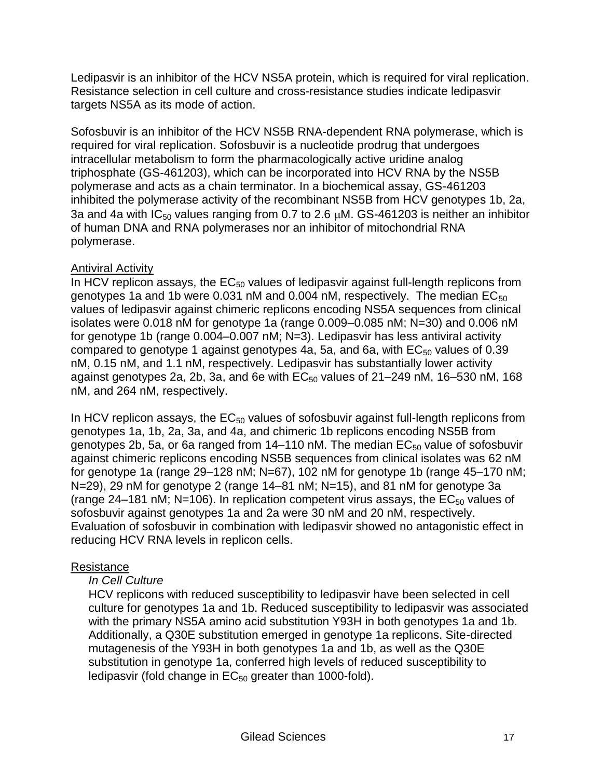Ledipasvir is an inhibitor of the HCV NS5A protein, which is required for viral replication. Resistance selection in cell culture and cross-resistance studies indicate ledipasvir targets NS5A as its mode of action.

Sofosbuvir is an inhibitor of the HCV NS5B RNA-dependent RNA polymerase, which is required for viral replication. Sofosbuvir is a nucleotide prodrug that undergoes intracellular metabolism to form the pharmacologically active uridine analog triphosphate (GS-461203), which can be incorporated into HCV RNA by the NS5B polymerase and acts as a chain terminator. In a biochemical assay, GS-461203 inhibited the polymerase activity of the recombinant NS5B from HCV genotypes 1b, 2a, 3a and 4a with  $IC_{50}$  values ranging from 0.7 to 2.6  $\mu$ M. GS-461203 is neither an inhibitor of human DNA and RNA polymerases nor an inhibitor of mitochondrial RNA polymerase.

# **Antiviral Activity**

In HCV replicon assays, the  $EC_{50}$  values of ledipasvir against full-length replicons from genotypes 1a and 1b were 0.031 nM and 0.004 nM, respectively. The median  $EC_{50}$ values of ledipasvir against chimeric replicons encoding NS5A sequences from clinical isolates were 0.018 nM for genotype 1a (range 0.009–0.085 nM; N=30) and 0.006 nM for genotype 1b (range 0.004–0.007 nM; N=3). Ledipasvir has less antiviral activity compared to genotype 1 against genotypes 4a, 5a, and 6a, with  $EC_{50}$  values of 0.39 nM, 0.15 nM, and 1.1 nM, respectively. Ledipasvir has substantially lower activity against genotypes 2a, 2b, 3a, and 6e with  $EC_{50}$  values of 21–249 nM, 16–530 nM, 168 nM, and 264 nM, respectively.

In HCV replicon assays, the  $EC_{50}$  values of sofosbuvir against full-length replicons from genotypes 1a, 1b, 2a, 3a, and 4a, and chimeric 1b replicons encoding NS5B from genotypes 2b, 5a, or 6a ranged from  $14-110$  nM. The median  $EC_{50}$  value of sofosbuvir against chimeric replicons encoding NS5B sequences from clinical isolates was 62 nM for genotype 1a (range 29–128 nM; N=67), 102 nM for genotype 1b (range 45–170 nM; N=29), 29 nM for genotype 2 (range 14–81 nM; N=15), and 81 nM for genotype 3a (range 24–181 nM; N=106). In replication competent virus assays, the  $EC_{50}$  values of sofosbuvir against genotypes 1a and 2a were 30 nM and 20 nM, respectively. Evaluation of sofosbuvir in combination with ledipasvir showed no antagonistic effect in reducing HCV RNA levels in replicon cells.

# **Resistance**

# *In Cell Culture*

HCV replicons with reduced susceptibility to ledipasvir have been selected in cell culture for genotypes 1a and 1b. Reduced susceptibility to ledipasvir was associated with the primary NS5A amino acid substitution Y93H in both genotypes 1a and 1b. Additionally, a Q30E substitution emerged in genotype 1a replicons. Site-directed mutagenesis of the Y93H in both genotypes 1a and 1b, as well as the Q30E substitution in genotype 1a, conferred high levels of reduced susceptibility to ledipasvir (fold change in  $EC_{50}$  greater than 1000-fold).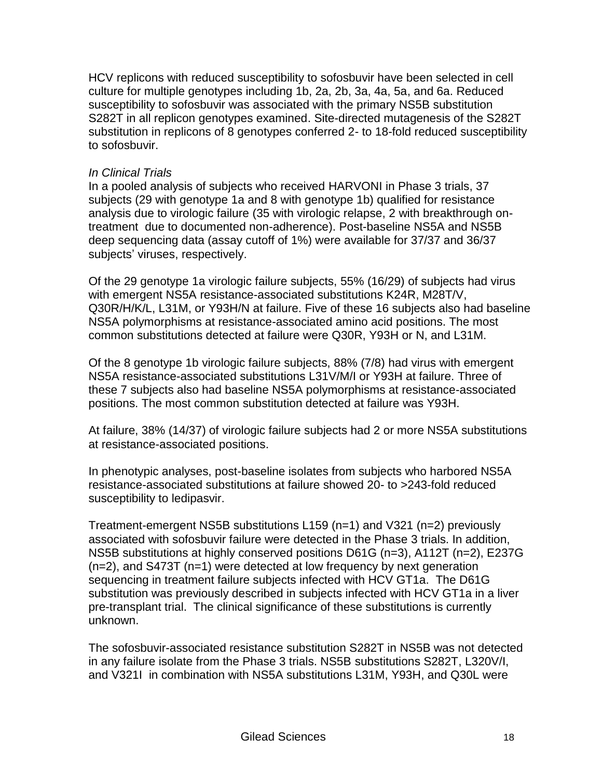HCV replicons with reduced susceptibility to sofosbuvir have been selected in cell culture for multiple genotypes including 1b, 2a, 2b, 3a, 4a, 5a, and 6a. Reduced susceptibility to sofosbuvir was associated with the primary NS5B substitution S282T in all replicon genotypes examined. Site-directed mutagenesis of the S282T substitution in replicons of 8 genotypes conferred 2- to 18-fold reduced susceptibility to sofosbuvir.

#### *In Clinical Trials*

In a pooled analysis of subjects who received HARVONI in Phase 3 trials, 37 subjects (29 with genotype 1a and 8 with genotype 1b) qualified for resistance analysis due to virologic failure (35 with virologic relapse, 2 with breakthrough ontreatment due to documented non-adherence). Post-baseline NS5A and NS5B deep sequencing data (assay cutoff of 1%) were available for 37/37 and 36/37 subjects' viruses, respectively.

Of the 29 genotype 1a virologic failure subjects, 55% (16/29) of subjects had virus with emergent NS5A resistance-associated substitutions K24R, M28T/V, Q30R/H/K/L, L31M, or Y93H/N at failure. Five of these 16 subjects also had baseline NS5A polymorphisms at resistance-associated amino acid positions. The most common substitutions detected at failure were Q30R, Y93H or N, and L31M.

Of the 8 genotype 1b virologic failure subjects, 88% (7/8) had virus with emergent NS5A resistance-associated substitutions L31V/M/I or Y93H at failure. Three of these 7 subjects also had baseline NS5A polymorphisms at resistance-associated positions. The most common substitution detected at failure was Y93H.

At failure, 38% (14/37) of virologic failure subjects had 2 or more NS5A substitutions at resistance-associated positions.

In phenotypic analyses, post-baseline isolates from subjects who harbored NS5A resistance-associated substitutions at failure showed 20- to >243-fold reduced susceptibility to ledipasvir.

Treatment-emergent NS5B substitutions L159 (n=1) and V321 (n=2) previously associated with sofosbuvir failure were detected in the Phase 3 trials. In addition, NS5B substitutions at highly conserved positions D61G (n=3), A112T (n=2), E237G (n=2), and S473T (n=1) were detected at low frequency by next generation sequencing in treatment failure subjects infected with HCV GT1a. The D61G substitution was previously described in subjects infected with HCV GT1a in a liver pre-transplant trial. The clinical significance of these substitutions is currently unknown.

The sofosbuvir-associated resistance substitution S282T in NS5B was not detected in any failure isolate from the Phase 3 trials. NS5B substitutions S282T, L320V/I, and V321I in combination with NS5A substitutions L31M, Y93H, and Q30L were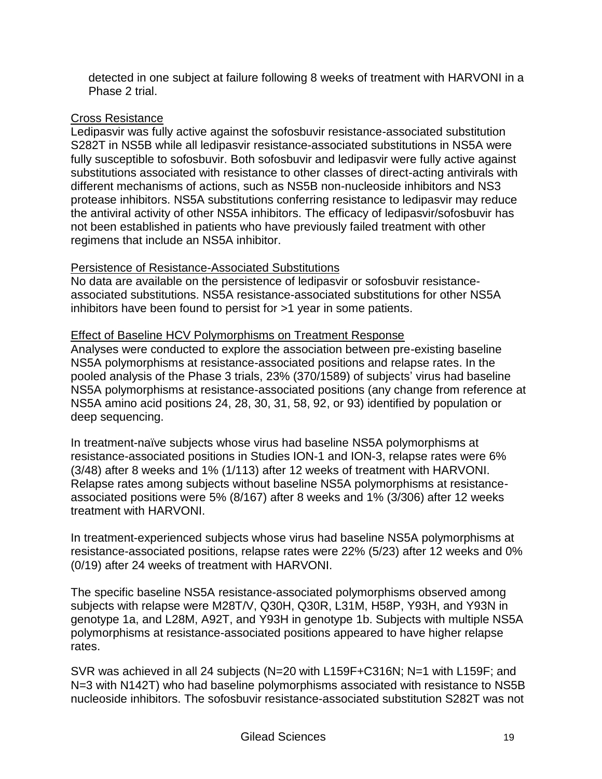detected in one subject at failure following 8 weeks of treatment with HARVONI in a Phase 2 trial.

### Cross Resistance

Ledipasvir was fully active against the sofosbuvir resistance-associated substitution S282T in NS5B while all ledipasvir resistance-associated substitutions in NS5A were fully susceptible to sofosbuvir. Both sofosbuvir and ledipasvir were fully active against substitutions associated with resistance to other classes of direct-acting antivirals with different mechanisms of actions, such as NS5B non-nucleoside inhibitors and NS3 protease inhibitors. NS5A substitutions conferring resistance to ledipasvir may reduce the antiviral activity of other NS5A inhibitors. The efficacy of ledipasvir/sofosbuvir has not been established in patients who have previously failed treatment with other regimens that include an NS5A inhibitor.

### Persistence of Resistance-Associated Substitutions

No data are available on the persistence of ledipasvir or sofosbuvir resistanceassociated substitutions. NS5A resistance-associated substitutions for other NS5A inhibitors have been found to persist for >1 year in some patients.

### Effect of Baseline HCV Polymorphisms on Treatment Response

Analyses were conducted to explore the association between pre-existing baseline NS5A polymorphisms at resistance-associated positions and relapse rates. In the pooled analysis of the Phase 3 trials, 23% (370/1589) of subjects' virus had baseline NS5A polymorphisms at resistance-associated positions (any change from reference at NS5A amino acid positions 24, 28, 30, 31, 58, 92, or 93) identified by population or deep sequencing.

In treatment-naïve subjects whose virus had baseline NS5A polymorphisms at resistance-associated positions in Studies ION-1 and ION-3, relapse rates were 6% (3/48) after 8 weeks and 1% (1/113) after 12 weeks of treatment with HARVONI. Relapse rates among subjects without baseline NS5A polymorphisms at resistanceassociated positions were 5% (8/167) after 8 weeks and 1% (3/306) after 12 weeks treatment with HARVONI.

In treatment-experienced subjects whose virus had baseline NS5A polymorphisms at resistance-associated positions, relapse rates were 22% (5/23) after 12 weeks and 0% (0/19) after 24 weeks of treatment with HARVONI.

The specific baseline NS5A resistance-associated polymorphisms observed among subjects with relapse were M28T/V, Q30H, Q30R, L31M, H58P, Y93H, and Y93N in genotype 1a, and L28M, A92T, and Y93H in genotype 1b. Subjects with multiple NS5A polymorphisms at resistance-associated positions appeared to have higher relapse rates.

SVR was achieved in all 24 subjects (N=20 with L159F+C316N; N=1 with L159F; and N=3 with N142T) who had baseline polymorphisms associated with resistance to NS5B nucleoside inhibitors. The sofosbuvir resistance-associated substitution S282T was not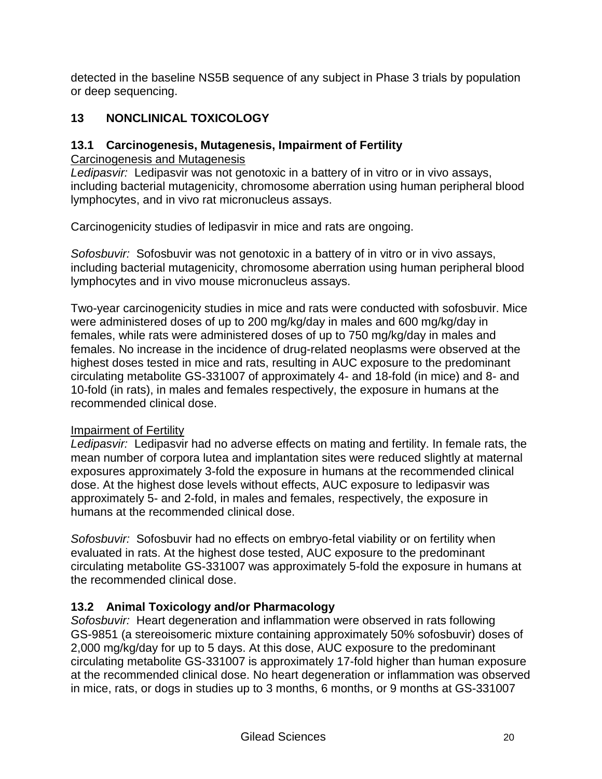detected in the baseline NS5B sequence of any subject in Phase 3 trials by population or deep sequencing.

# **13 NONCLINICAL TOXICOLOGY**

# **13.1 Carcinogenesis, Mutagenesis, Impairment of Fertility**

Carcinogenesis and Mutagenesis

*Ledipasvir:* Ledipasvir was not genotoxic in a battery of in vitro or in vivo assays, including bacterial mutagenicity, chromosome aberration using human peripheral blood lymphocytes, and in vivo rat micronucleus assays.

Carcinogenicity studies of ledipasvir in mice and rats are ongoing.

*Sofosbuvir:* Sofosbuvir was not genotoxic in a battery of in vitro or in vivo assays, including bacterial mutagenicity, chromosome aberration using human peripheral blood lymphocytes and in vivo mouse micronucleus assays.

Two-year carcinogenicity studies in mice and rats were conducted with sofosbuvir. Mice were administered doses of up to 200 mg/kg/day in males and 600 mg/kg/day in females, while rats were administered doses of up to 750 mg/kg/day in males and females. No increase in the incidence of drug-related neoplasms were observed at the highest doses tested in mice and rats, resulting in AUC exposure to the predominant circulating metabolite GS-331007 of approximately 4- and 18-fold (in mice) and 8- and 10-fold (in rats), in males and females respectively, the exposure in humans at the recommended clinical dose.

# Impairment of Fertility

*Ledipasvir:* Ledipasvir had no adverse effects on mating and fertility. In female rats, the mean number of corpora lutea and implantation sites were reduced slightly at maternal exposures approximately 3-fold the exposure in humans at the recommended clinical dose. At the highest dose levels without effects, AUC exposure to ledipasvir was approximately 5- and 2-fold, in males and females, respectively, the exposure in humans at the recommended clinical dose.

*Sofosbuvir:* Sofosbuvir had no effects on embryo-fetal viability or on fertility when evaluated in rats. At the highest dose tested, AUC exposure to the predominant circulating metabolite GS-331007 was approximately 5-fold the exposure in humans at the recommended clinical dose.

# **13.2 Animal Toxicology and/or Pharmacology**

*Sofosbuvir:* Heart degeneration and inflammation were observed in rats following GS-9851 (a stereoisomeric mixture containing approximately 50% sofosbuvir) doses of 2,000 mg/kg/day for up to 5 days. At this dose, AUC exposure to the predominant circulating metabolite GS-331007 is approximately 17-fold higher than human exposure at the recommended clinical dose. No heart degeneration or inflammation was observed in mice, rats, or dogs in studies up to 3 months, 6 months, or 9 months at GS-331007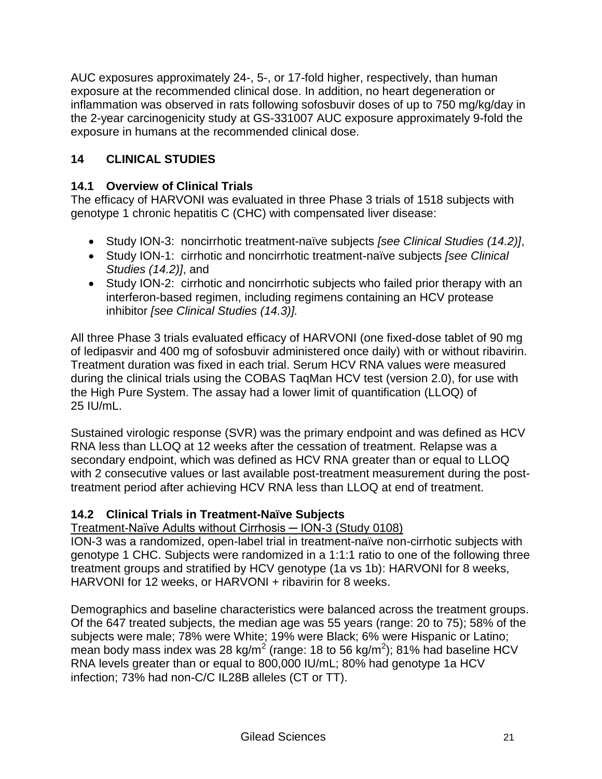AUC exposures approximately 24-, 5-, or 17-fold higher, respectively, than human exposure at the recommended clinical dose. In addition, no heart degeneration or inflammation was observed in rats following sofosbuvir doses of up to 750 mg/kg/day in the 2-year carcinogenicity study at GS-331007 AUC exposure approximately 9-fold the exposure in humans at the recommended clinical dose.

# **14 CLINICAL STUDIES**

# **14.1 Overview of Clinical Trials**

The efficacy of HARVONI was evaluated in three Phase 3 trials of 1518 subjects with genotype 1 chronic hepatitis C (CHC) with compensated liver disease:

- Study ION-3: noncirrhotic treatment-naïve subjects *[see Clinical Studies (14.2)]*,
- Study ION-1: cirrhotic and noncirrhotic treatment-naïve subjects *[see Clinical Studies (14.2)]*, and
- Study ION-2: cirrhotic and noncirrhotic subjects who failed prior therapy with an interferon-based regimen, including regimens containing an HCV protease inhibitor *[see Clinical Studies (14.3)].*

All three Phase 3 trials evaluated efficacy of HARVONI (one fixed-dose tablet of 90 mg of ledipasvir and 400 mg of sofosbuvir administered once daily) with or without ribavirin. Treatment duration was fixed in each trial. Serum HCV RNA values were measured during the clinical trials using the COBAS TaqMan HCV test (version 2.0), for use with the High Pure System. The assay had a lower limit of quantification (LLOQ) of 25 IU/mL.

Sustained virologic response (SVR) was the primary endpoint and was defined as HCV RNA less than LLOQ at 12 weeks after the cessation of treatment. Relapse was a secondary endpoint, which was defined as HCV RNA greater than or equal to LLOQ with 2 consecutive values or last available post-treatment measurement during the posttreatment period after achieving HCV RNA less than LLOQ at end of treatment.

# **14.2 Clinical Trials in Treatment-Naïve Subjects**

# Treatment-Naïve Adults without Cirrhosis ─ ION-3 (Study 0108)

ION-3 was a randomized, open-label trial in treatment-naïve non-cirrhotic subjects with genotype 1 CHC. Subjects were randomized in a 1:1:1 ratio to one of the following three treatment groups and stratified by HCV genotype (1a vs 1b): HARVONI for 8 weeks, HARVONI for 12 weeks, or HARVONI + ribavirin for 8 weeks.

Demographics and baseline characteristics were balanced across the treatment groups. Of the 647 treated subjects, the median age was 55 years (range: 20 to 75); 58% of the subjects were male; 78% were White; 19% were Black; 6% were Hispanic or Latino; mean body mass index was 28 kg/m<sup>2</sup> (range: 18 to 56 kg/m<sup>2</sup>); 81% had baseline HCV RNA levels greater than or equal to 800,000 IU/mL; 80% had genotype 1a HCV infection; 73% had non-C/C IL28B alleles (CT or TT).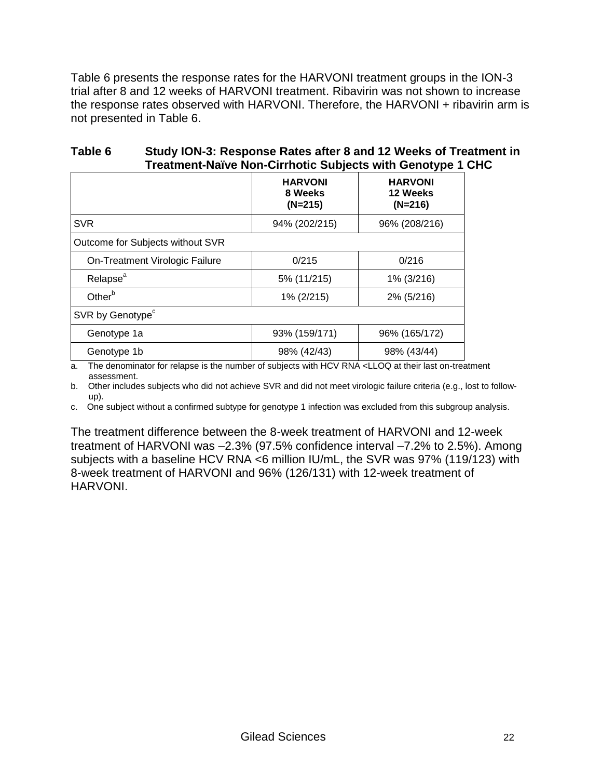Table 6 presents the response rates for the HARVONI treatment groups in the ION-3 trial after 8 and 12 weeks of HARVONI treatment. Ribavirin was not shown to increase the response rates observed with HARVONI. Therefore, the HARVONI + ribavirin arm is not presented in Table 6.

| Table 6 | Study ION-3: Response Rates after 8 and 12 Weeks of Treatment in |
|---------|------------------------------------------------------------------|
|         | Treatment-Naïve Non-Cirrhotic Subjects with Genotype 1 CHC       |

|                                  | <b>HARVONI</b><br>8 Weeks<br>$(N=215)$ | <b>HARVONI</b><br>12 Weeks<br>$(N=216)$ |
|----------------------------------|----------------------------------------|-----------------------------------------|
| <b>SVR</b>                       | 94% (202/215)                          | 96% (208/216)                           |
| Outcome for Subjects without SVR |                                        |                                         |
| On-Treatment Virologic Failure   | 0/215                                  | 0/216                                   |
| Relapse <sup>a</sup>             | 5% (11/215)                            | 1% (3/216)                              |
| Other <sup>b</sup>               | 1% (2/215)                             | 2% (5/216)                              |
| SVR by Genotype <sup>c</sup>     |                                        |                                         |
| Genotype 1a                      | 93% (159/171)                          | 96% (165/172)                           |
| Genotype 1b                      | 98% (42/43)                            | 98% (43/44)                             |

a. The denominator for relapse is the number of subjects with HCV RNA <LLOQ at their last on-treatment assessment.

b. Other includes subjects who did not achieve SVR and did not meet virologic failure criteria (e.g., lost to followup).

c. One subject without a confirmed subtype for genotype 1 infection was excluded from this subgroup analysis.

The treatment difference between the 8-week treatment of HARVONI and 12-week treatment of HARVONI was –2.3% (97.5% confidence interval –7.2% to 2.5%). Among subjects with a baseline HCV RNA <6 million IU/mL, the SVR was 97% (119/123) with 8-week treatment of HARVONI and 96% (126/131) with 12-week treatment of HARVONI.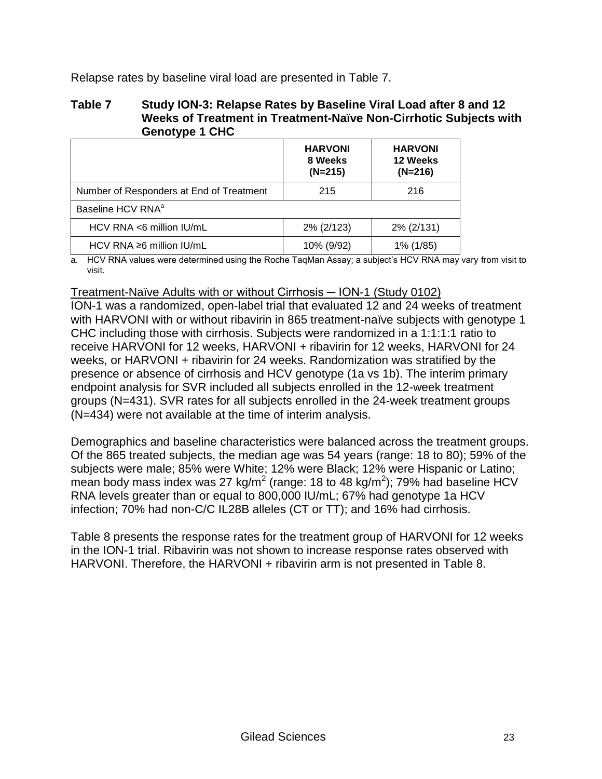Relapse rates by baseline viral load are presented in Table 7.

#### **Table 7 Study ION-3: Relapse Rates by Baseline Viral Load after 8 and 12 Weeks of Treatment in Treatment-Naïve Non-Cirrhotic Subjects with Genotype 1 CHC**

|                                          | <b>HARVONI</b><br>8 Weeks<br>$(N=215)$ | <b>HARVONI</b><br>12 Weeks<br>$(N=216)$ |
|------------------------------------------|----------------------------------------|-----------------------------------------|
| Number of Responders at End of Treatment | 215                                    | 216                                     |
| Baseline HCV RNA <sup>a</sup>            |                                        |                                         |
| $HCV$ RNA <6 million $IU/mL$             | 2% (2/123)                             | 2% (2/131)                              |
| HCV RNA $\geq 6$ million IU/mL           | 10% (9/92)                             | 1% (1/85)                               |

a. HCV RNA values were determined using the Roche TaqMan Assay; a subject's HCV RNA may vary from visit to visit.

#### Treatment-Naïve Adults with or without Cirrhosis ─ ION-1 (Study 0102)

ION-1 was a randomized, open-label trial that evaluated 12 and 24 weeks of treatment with HARVONI with or without ribavirin in 865 treatment-naïve subjects with genotype 1 CHC including those with cirrhosis. Subjects were randomized in a 1:1:1:1 ratio to receive HARVONI for 12 weeks, HARVONI + ribavirin for 12 weeks, HARVONI for 24 weeks, or HARVONI + ribavirin for 24 weeks. Randomization was stratified by the presence or absence of cirrhosis and HCV genotype (1a vs 1b). The interim primary endpoint analysis for SVR included all subjects enrolled in the 12-week treatment groups (N=431). SVR rates for all subjects enrolled in the 24-week treatment groups (N=434) were not available at the time of interim analysis.

Demographics and baseline characteristics were balanced across the treatment groups. Of the 865 treated subjects, the median age was 54 years (range: 18 to 80); 59% of the subjects were male; 85% were White; 12% were Black; 12% were Hispanic or Latino; mean body mass index was 27 kg/m<sup>2</sup> (range: 18 to 48 kg/m<sup>2</sup>); 79% had baseline HCV RNA levels greater than or equal to 800,000 IU/mL; 67% had genotype 1a HCV infection; 70% had non-C/C IL28B alleles (CT or TT); and 16% had cirrhosis.

Table 8 presents the response rates for the treatment group of HARVONI for 12 weeks in the ION-1 trial. Ribavirin was not shown to increase response rates observed with HARVONI. Therefore, the HARVONI + ribavirin arm is not presented in Table 8.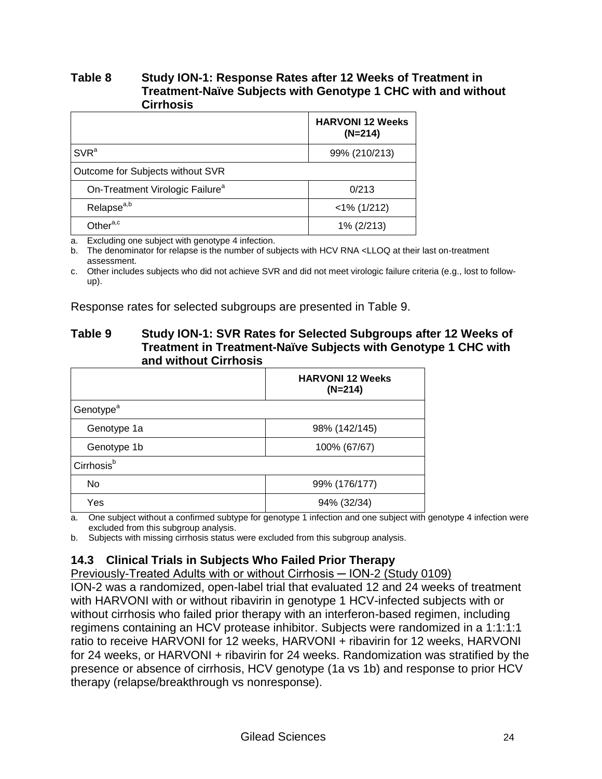#### **Table 8 Study ION-1: Response Rates after 12 Weeks of Treatment in Treatment-Naïve Subjects with Genotype 1 CHC with and without Cirrhosis**

|                                             | <b>HARVONI 12 Weeks</b><br>$(N=214)$ |
|---------------------------------------------|--------------------------------------|
| SVR <sup>a</sup>                            | 99% (210/213)                        |
| Outcome for Subjects without SVR            |                                      |
| On-Treatment Virologic Failure <sup>a</sup> | 0/213                                |
| Relapse <sup>a,b</sup>                      | $<$ 1% (1/212)                       |
| Other <sup>a,c</sup>                        | 1% (2/213)                           |

a. Excluding one subject with genotype 4 infection.

b. The denominator for relapse is the number of subjects with HCV RNA <LLOQ at their last on-treatment assessment.

c. Other includes subjects who did not achieve SVR and did not meet virologic failure criteria (e.g., lost to followup).

Response rates for selected subgroups are presented in Table 9.

#### **Table 9 Study ION-1: SVR Rates for Selected Subgroups after 12 Weeks of Treatment in Treatment-Naïve Subjects with Genotype 1 CHC with and without Cirrhosis**

|                        | <b>HARVONI 12 Weeks</b><br>$(N=214)$ |
|------------------------|--------------------------------------|
| Genotype <sup>a</sup>  |                                      |
| Genotype 1a            | 98% (142/145)                        |
| Genotype 1b            | 100% (67/67)                         |
| Cirrhosis <sup>b</sup> |                                      |
| No                     | 99% (176/177)                        |
| Yes                    | 94% (32/34)                          |

a. One subject without a confirmed subtype for genotype 1 infection and one subject with genotype 4 infection were excluded from this subgroup analysis.

b. Subjects with missing cirrhosis status were excluded from this subgroup analysis.

# **14.3 Clinical Trials in Subjects Who Failed Prior Therapy**

Previously-Treated Adults with or without Cirrhosis — ION-2 (Study 0109)

ION-2 was a randomized, open-label trial that evaluated 12 and 24 weeks of treatment with HARVONI with or without ribavirin in genotype 1 HCV-infected subjects with or without cirrhosis who failed prior therapy with an interferon-based regimen, including regimens containing an HCV protease inhibitor. Subjects were randomized in a 1:1:1:1 ratio to receive HARVONI for 12 weeks, HARVONI + ribavirin for 12 weeks, HARVONI for 24 weeks, or HARVONI + ribavirin for 24 weeks. Randomization was stratified by the presence or absence of cirrhosis, HCV genotype (1a vs 1b) and response to prior HCV therapy (relapse/breakthrough vs nonresponse).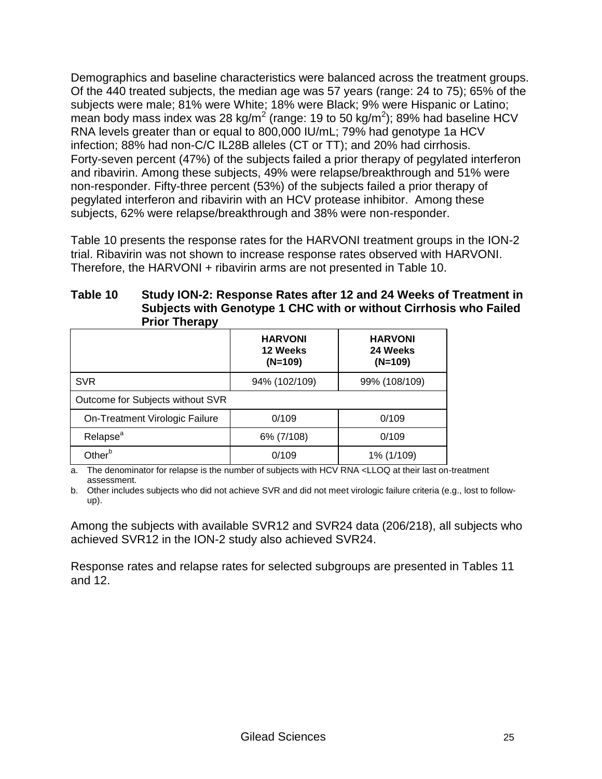Demographics and baseline characteristics were balanced across the treatment groups. Of the 440 treated subjects, the median age was 57 years (range: 24 to 75); 65% of the subjects were male; 81% were White; 18% were Black; 9% were Hispanic or Latino; mean body mass index was 28 kg/m<sup>2</sup> (range: 19 to 50 kg/m<sup>2</sup>); 89% had baseline HCV RNA levels greater than or equal to 800,000 IU/mL; 79% had genotype 1a HCV infection; 88% had non-C/C IL28B alleles (CT or TT); and 20% had cirrhosis. Forty-seven percent (47%) of the subjects failed a prior therapy of pegylated interferon and ribavirin. Among these subjects, 49% were relapse/breakthrough and 51% were non-responder. Fifty-three percent (53%) of the subjects failed a prior therapy of pegylated interferon and ribavirin with an HCV protease inhibitor. Among these subjects, 62% were relapse/breakthrough and 38% were non-responder.

Table 10 presents the response rates for the HARVONI treatment groups in the ION-2 trial. Ribavirin was not shown to increase response rates observed with HARVONI. Therefore, the HARVONI + ribavirin arms are not presented in Table 10.

| Table 10 | <b>Prior Therapy</b> | Study ION-2: Response Rates after 12 and 24 Weeks of Treatment in<br>Subjects with Genotype 1 CHC with or without Cirrhosis who Failed |  |
|----------|----------------------|----------------------------------------------------------------------------------------------------------------------------------------|--|
|          |                      |                                                                                                                                        |  |

|                                  | <b>HARVONI</b><br>12 Weeks<br>$(N=109)$ | <b>HARVONI</b><br>24 Weeks<br>$(N=109)$ |  |  |
|----------------------------------|-----------------------------------------|-----------------------------------------|--|--|
| <b>SVR</b>                       | 94% (102/109)                           | 99% (108/109)                           |  |  |
| Outcome for Subjects without SVR |                                         |                                         |  |  |
| On-Treatment Virologic Failure   | 0/109                                   | 0/109                                   |  |  |
| Relapse <sup>a</sup>             | 6% (7/108)                              | 0/109                                   |  |  |
| Other <sup>b</sup>               | 0/109                                   | 1% (1/109)                              |  |  |

a. The denominator for relapse is the number of subjects with HCV RNA <LLOQ at their last on-treatment assessment.

b. Other includes subjects who did not achieve SVR and did not meet virologic failure criteria (e.g., lost to followup).

Among the subjects with available SVR12 and SVR24 data (206/218), all subjects who achieved SVR12 in the ION-2 study also achieved SVR24.

Response rates and relapse rates for selected subgroups are presented in Tables 11 and 12.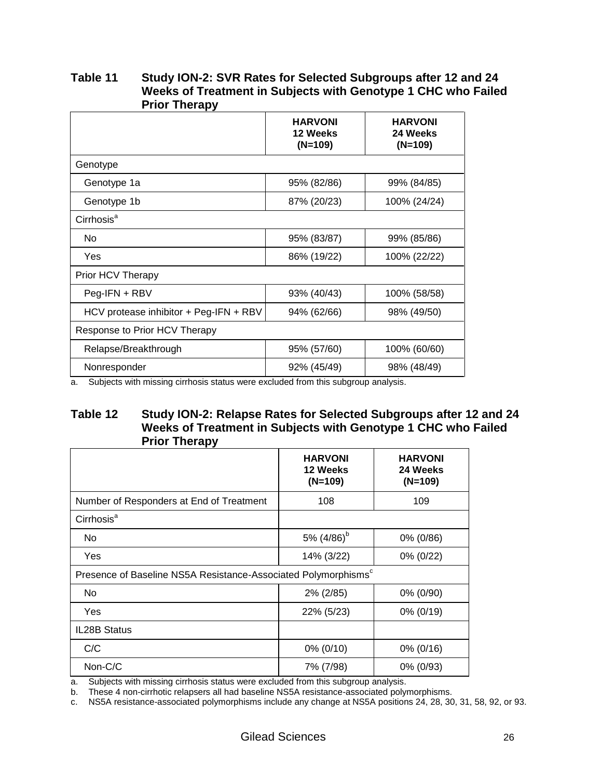| <b>Prior Trierapy</b>                  |                                         |                                         |
|----------------------------------------|-----------------------------------------|-----------------------------------------|
|                                        | <b>HARVONI</b><br>12 Weeks<br>$(N=109)$ | <b>HARVONI</b><br>24 Weeks<br>$(N=109)$ |
| Genotype                               |                                         |                                         |
| Genotype 1a                            | 95% (82/86)                             | 99% (84/85)                             |
| Genotype 1b                            | 87% (20/23)                             | 100% (24/24)                            |
| Cirrhosis <sup>a</sup>                 |                                         |                                         |
| No                                     | 95% (83/87)                             | 99% (85/86)                             |
| Yes                                    | 86% (19/22)                             | 100% (22/22)                            |
| Prior HCV Therapy                      |                                         |                                         |
| $Peg-IFN + RBV$                        | 93% (40/43)                             | 100% (58/58)                            |
| HCV protease inhibitor + Peg-IFN + RBV | 94% (62/66)                             | 98% (49/50)                             |
| Response to Prior HCV Therapy          |                                         |                                         |
| Relapse/Breakthrough                   | 95% (57/60)                             | 100% (60/60)                            |
| Nonresponder                           | 92% (45/49)                             | 98% (48/49)                             |

#### **Table 11 Study ION-2: SVR Rates for Selected Subgroups after 12 and 24 Weeks of Treatment in Subjects with Genotype 1 CHC who Failed Prior Therapy**

a. Subjects with missing cirrhosis status were excluded from this subgroup analysis.

#### **Table 12 Study ION-2: Relapse Rates for Selected Subgroups after 12 and 24 Weeks of Treatment in Subjects with Genotype 1 CHC who Failed Prior Therapy**

|                                                                            | <b>HARVONI</b><br>12 Weeks<br>$(N=109)$ | <b>HARVONI</b><br>24 Weeks<br>$(N=109)$ |  |  |
|----------------------------------------------------------------------------|-----------------------------------------|-----------------------------------------|--|--|
| Number of Responders at End of Treatment                                   | 108                                     | 109                                     |  |  |
| Cirrhosis <sup>a</sup>                                                     |                                         |                                         |  |  |
| No                                                                         | 5% $(4/86)^{b}$                         | 0% (0/86)                               |  |  |
| Yes                                                                        | 14% (3/22)                              | 0% (0/22)                               |  |  |
| Presence of Baseline NS5A Resistance-Associated Polymorphisms <sup>c</sup> |                                         |                                         |  |  |
| No                                                                         | 2% (2/85)                               | 0% (0/90)                               |  |  |
| Yes                                                                        | 22% (5/23)                              | $0\% (0/19)$                            |  |  |
| <b>IL28B Status</b>                                                        |                                         |                                         |  |  |
| C/C                                                                        | 0% (0/10)                               | 0% (0/16)                               |  |  |
| Non-C/C                                                                    | 7% (7/98)                               | 0% (0/93)                               |  |  |

a. Subjects with missing cirrhosis status were excluded from this subgroup analysis.

b. These 4 non-cirrhotic relapsers all had baseline NS5A resistance-associated polymorphisms.

c. NS5A resistance-associated polymorphisms include any change at NS5A positions 24, 28, 30, 31, 58, 92, or 93.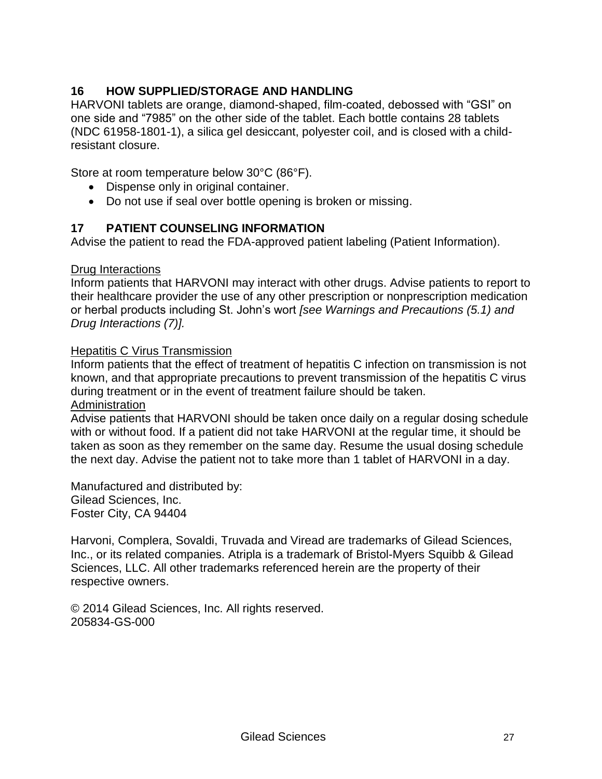# **16 HOW SUPPLIED/STORAGE AND HANDLING**

HARVONI tablets are orange, diamond-shaped, film-coated, debossed with "GSI" on one side and "7985" on the other side of the tablet. Each bottle contains 28 tablets (NDC 61958-1801-1), a silica gel desiccant, polyester coil, and is closed with a childresistant closure.

Store at room temperature below 30°C (86°F).

- Dispense only in original container.
- Do not use if seal over bottle opening is broken or missing.

### **17 PATIENT COUNSELING INFORMATION**

Advise the patient to read the FDA-approved patient labeling (Patient Information).

#### Drug Interactions

Inform patients that HARVONI may interact with other drugs. Advise patients to report to their healthcare provider the use of any other prescription or nonprescription medication or herbal products including St. John's wort *[see Warnings and Precautions (5.1) and Drug Interactions (7)].*

#### Hepatitis C Virus Transmission

Inform patients that the effect of treatment of hepatitis C infection on transmission is not known, and that appropriate precautions to prevent transmission of the hepatitis C virus during treatment or in the event of treatment failure should be taken. Administration

Advise patients that HARVONI should be taken once daily on a regular dosing schedule with or without food. If a patient did not take HARVONI at the regular time, it should be taken as soon as they remember on the same day. Resume the usual dosing schedule the next day. Advise the patient not to take more than 1 tablet of HARVONI in a day.

Manufactured and distributed by: Gilead Sciences, Inc. Foster City, CA 94404

Harvoni, Complera, Sovaldi, Truvada and Viread are trademarks of Gilead Sciences, Inc., or its related companies. Atripla is a trademark of Bristol-Myers Squibb & Gilead Sciences, LLC. All other trademarks referenced herein are the property of their respective owners.

© 2014 Gilead Sciences, Inc. All rights reserved. 205834-GS-000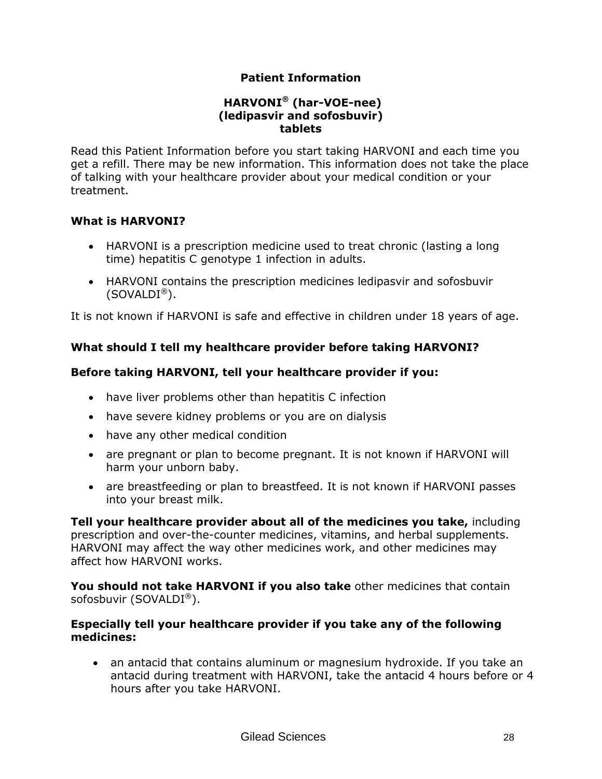### **Patient Information**

#### **HARVONI® (har-VOE-nee) (ledipasvir and sofosbuvir) tablets**

Read this Patient Information before you start taking HARVONI and each time you get a refill. There may be new information. This information does not take the place of talking with your healthcare provider about your medical condition or your treatment.

#### **What is HARVONI?**

- HARVONI is a prescription medicine used to treat chronic (lasting a long time) hepatitis C genotype 1 infection in adults.
- HARVONI contains the prescription medicines ledipasvir and sofosbuvir  $(SOVALDI<sup>®</sup>)$ .

It is not known if HARVONI is safe and effective in children under 18 years of age.

# **What should I tell my healthcare provider before taking HARVONI?**

### **Before taking HARVONI, tell your healthcare provider if you:**

- have liver problems other than hepatitis C infection
- have severe kidney problems or you are on dialysis
- have any other medical condition
- are pregnant or plan to become pregnant. It is not known if HARVONI will harm your unborn baby.
- are breastfeeding or plan to breastfeed. It is not known if HARVONI passes into your breast milk.

**Tell your healthcare provider about all of the medicines you take,** including prescription and over-the-counter medicines, vitamins, and herbal supplements. HARVONI may affect the way other medicines work, and other medicines may affect how HARVONI works.

**You should not take HARVONI if you also take** other medicines that contain sofosbuvir (SOVALDI®).

#### **Especially tell your healthcare provider if you take any of the following medicines:**

 an antacid that contains aluminum or magnesium hydroxide. If you take an antacid during treatment with HARVONI, take the antacid 4 hours before or 4 hours after you take HARVONI.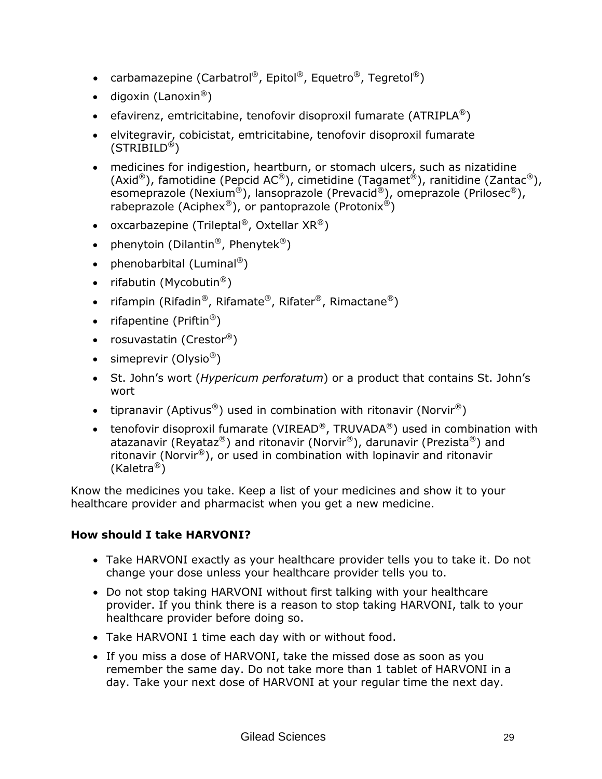- carbamazepine (Carbatrol®, Epitol®, Equetro®, Tegretol®)
- $\bullet$  digoxin (Lanoxin®)
- efavirenz, emtricitabine, tenofovir disoproxil fumarate (ATRIPLA<sup>®</sup>)
- elvitegravir, cobicistat, emtricitabine, tenofovir disoproxil fumarate (STRIBILD®)
- medicines for indigestion, heartburn, or stomach ulcers, such as nizatidine (Axid®), famotidine (Pepcid AC®), cimetidine (Tagamet®), ranitidine (Zantac®), esomeprazole (Nexium®), lansoprazole (Prevacid®), omeprazole (Prilosec®), rabeprazole (Aciphex®), or pantoprazole (Protonix<sup>®</sup>)
- oxcarbazepine (Trileptal®, Oxtellar  $XR^{\circledR}$ )
- phenytoin (Dilantin®, Phenytek®)
- phenobarbital (Luminal®)
- rifabutin (Mycobutin<sup>®</sup>)
- rifampin (Rifadin®, Rifamate®, Rifater®, Rimactane®)
- rifapentine (Priftin<sup>®</sup>)
- rosuvastatin (Crestor®)
- $\bullet$  simeprevir (Olysio<sup>®</sup>)
- St. John's wort (*Hypericum perforatum*) or a product that contains St. John's wort
- tipranavir (Aptivus<sup>®</sup>) used in combination with ritonavir (Norvir<sup>®</sup>)
- tenofovir disoproxil fumarate (VIREAD®, TRUVADA®) used in combination with atazanavir (Reyataz®) and ritonavir (Norvir®), darunavir (Prezista®) and ritonavir (Norvir®), or used in combination with lopinavir and ritonavir (Kaletra®)

Know the medicines you take. Keep a list of your medicines and show it to your healthcare provider and pharmacist when you get a new medicine.

# **How should I take HARVONI?**

- Take HARVONI exactly as your healthcare provider tells you to take it. Do not change your dose unless your healthcare provider tells you to.
- Do not stop taking HARVONI without first talking with your healthcare provider. If you think there is a reason to stop taking HARVONI, talk to your healthcare provider before doing so.
- Take HARVONI 1 time each day with or without food.
- If you miss a dose of HARVONI, take the missed dose as soon as you remember the same day. Do not take more than 1 tablet of HARVONI in a day. Take your next dose of HARVONI at your regular time the next day.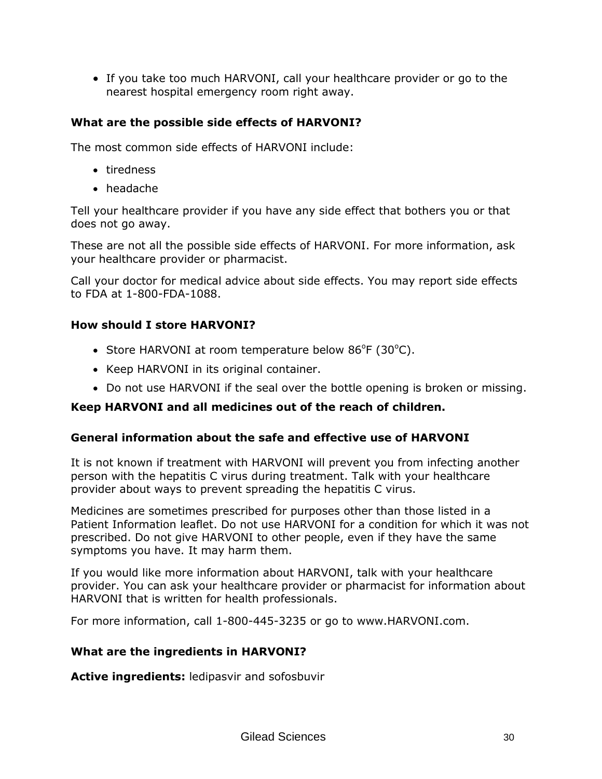If you take too much HARVONI, call your healthcare provider or go to the nearest hospital emergency room right away.

### **What are the possible side effects of HARVONI?**

The most common side effects of HARVONI include:

- tiredness
- headache

Tell your healthcare provider if you have any side effect that bothers you or that does not go away.

These are not all the possible side effects of HARVONI. For more information, ask your healthcare provider or pharmacist.

Call your doctor for medical advice about side effects. You may report side effects to FDA at 1-800-FDA-1088.

#### **How should I store HARVONI?**

- Store HARVONI at room temperature below  $86^{\circ}F$  (30 $^{\circ}C$ ).
- Keep HARVONI in its original container.
- Do not use HARVONI if the seal over the bottle opening is broken or missing.

#### **Keep HARVONI and all medicines out of the reach of children.**

#### **General information about the safe and effective use of HARVONI**

It is not known if treatment with HARVONI will prevent you from infecting another person with the hepatitis C virus during treatment. Talk with your healthcare provider about ways to prevent spreading the hepatitis C virus.

Medicines are sometimes prescribed for purposes other than those listed in a Patient Information leaflet. Do not use HARVONI for a condition for which it was not prescribed. Do not give HARVONI to other people, even if they have the same symptoms you have. It may harm them.

If you would like more information about HARVONI, talk with your healthcare provider. You can ask your healthcare provider or pharmacist for information about HARVONI that is written for health professionals.

For more information, call 1-800-445-3235 or go to www.HARVONI.com.

#### **What are the ingredients in HARVONI?**

**Active ingredients:** ledipasvir and sofosbuvir